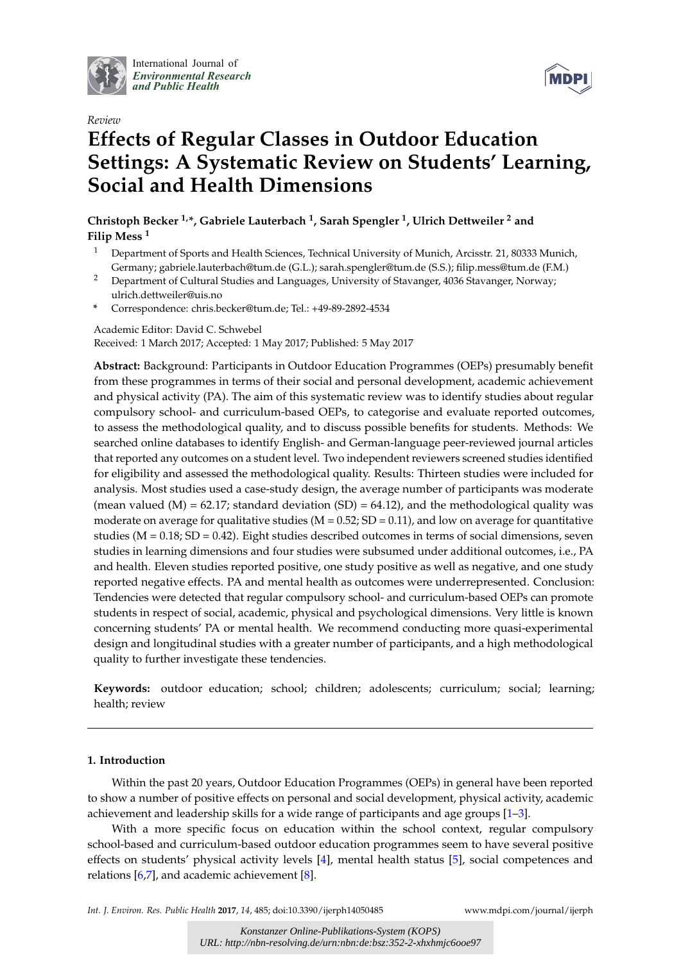

International Journal of *[Environmental Research](http://www.mdpi.com/journal/ijerph) and Public Health*





# **Effects of Regular Classes in Outdoor Education Settings: A Systematic Review on Students' Learning, Social and Health Dimensions**

**Christoph Becker 1,\*, Gabriele Lauterbach <sup>1</sup> , Sarah Spengler <sup>1</sup> , Ulrich Dettweiler <sup>2</sup> and Filip Mess <sup>1</sup>**

- <sup>1</sup> Department of Sports and Health Sciences, Technical University of Munich, Arcisstr. 21, 80333 Munich, Germany; gabriele.lauterbach@tum.de (G.L.); sarah.spengler@tum.de (S.S.); filip.mess@tum.de (F.M.)
- <sup>2</sup> Department of Cultural Studies and Languages, University of Stavanger, 4036 Stavanger, Norway; ulrich.dettweiler@uis.no
- **\*** Correspondence: chris.becker@tum.de; Tel.: +49-89-2892-4534

Academic Editor: David C. Schwebel Received: 1 March 2017; Accepted: 1 May 2017; Published: 5 May 2017

**Abstract:** Background: Participants in Outdoor Education Programmes (OEPs) presumably benefit from these programmes in terms of their social and personal development, academic achievement and physical activity (PA). The aim of this systematic review was to identify studies about regular compulsory school- and curriculum-based OEPs, to categorise and evaluate reported outcomes, to assess the methodological quality, and to discuss possible benefits for students. Methods: We searched online databases to identify English- and German-language peer-reviewed journal articles that reported any outcomes on a student level. Two independent reviewers screened studies identified for eligibility and assessed the methodological quality. Results: Thirteen studies were included for analysis. Most studies used a case-study design, the average number of participants was moderate (mean valued  $(M) = 62.17$ ; standard deviation  $(SD) = 64.12$ ), and the methodological quality was moderate on average for qualitative studies ( $M = 0.52$ ;  $SD = 0.11$ ), and low on average for quantitative studies ( $M = 0.18$ ;  $SD = 0.42$ ). Eight studies described outcomes in terms of social dimensions, seven studies in learning dimensions and four studies were subsumed under additional outcomes, i.e., PA and health. Eleven studies reported positive, one study positive as well as negative, and one study reported negative effects. PA and mental health as outcomes were underrepresented. Conclusion: Tendencies were detected that regular compulsory school- and curriculum-based OEPs can promote students in respect of social, academic, physical and psychological dimensions. Very little is known concerning students' PA or mental health. We recommend conducting more quasi-experimental design and longitudinal studies with a greater number of participants, and a high methodological quality to further investigate these tendencies.

**Keywords:** outdoor education; school; children; adolescents; curriculum; social; learning; health; review

# **1. Introduction**

Within the past 20 years, Outdoor Education Programmes (OEPs) in general have been reported to show a number of positive effects on personal and social development, physical activity, academic achievement and leadership skills for a wide range of participants and age groups  $[1-3]$  $[1-3]$ .

With a more specific focus on education within the school context, regular compulsory school-based and curriculum-based outdoor education programmes seem to have several positive effects on students' physical activity levels [\[4\]](#page-18-1), mental health status [\[5\]](#page-18-2), social competences and relations [\[6](#page-18-3)[,7\]](#page-18-4), and academic achievement [\[8\]](#page-18-5).

*Int. J. Environ. Res. Public Health* **2017**, *14*, 485; doi:10.3390/ijerph14050485 [www.mdpi.com/journal/ijerph](http://www.mdpi.com/journal/ijerph)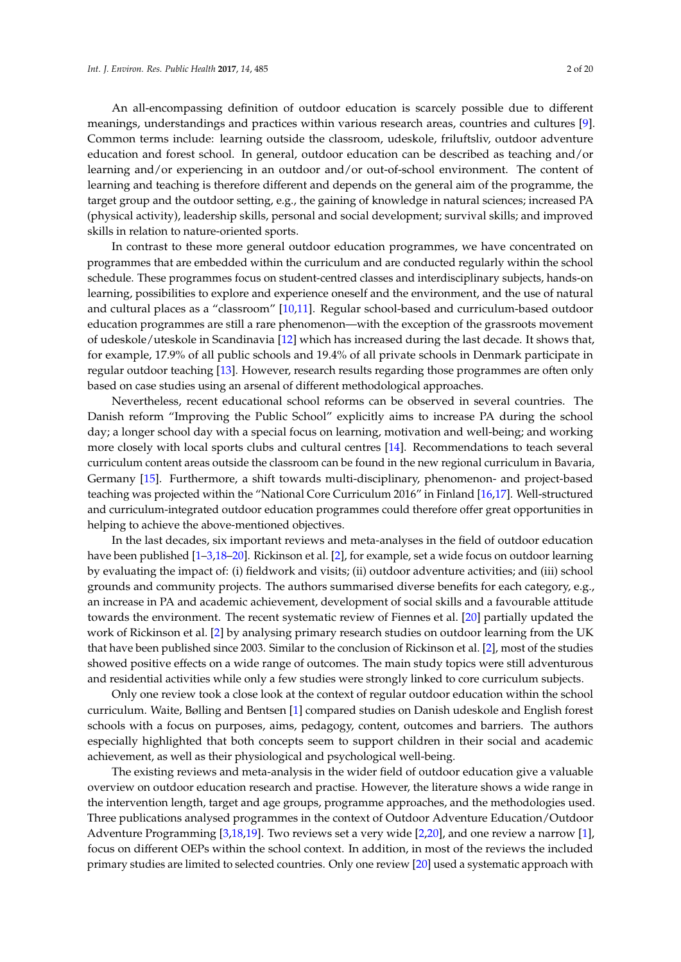An all-encompassing definition of outdoor education is scarcely possible due to different meanings, understandings and practices within various research areas, countries and cultures [\[9\]](#page-18-6). Common terms include: learning outside the classroom, udeskole, friluftsliv, outdoor adventure education and forest school. In general, outdoor education can be described as teaching and/or learning and/or experiencing in an outdoor and/or out-of-school environment. The content of learning and teaching is therefore different and depends on the general aim of the programme, the target group and the outdoor setting, e.g., the gaining of knowledge in natural sciences; increased PA (physical activity), leadership skills, personal and social development; survival skills; and improved skills in relation to nature-oriented sports.

In contrast to these more general outdoor education programmes, we have concentrated on programmes that are embedded within the curriculum and are conducted regularly within the school schedule. These programmes focus on student-centred classes and interdisciplinary subjects, hands-on learning, possibilities to explore and experience oneself and the environment, and the use of natural and cultural places as a "classroom" [\[10](#page-18-7)[,11\]](#page-18-8). Regular school-based and curriculum-based outdoor education programmes are still a rare phenomenon—with the exception of the grassroots movement of udeskole/uteskole in Scandinavia [\[12\]](#page-18-9) which has increased during the last decade. It shows that, for example, 17.9% of all public schools and 19.4% of all private schools in Denmark participate in regular outdoor teaching [\[13\]](#page-18-10). However, research results regarding those programmes are often only based on case studies using an arsenal of different methodological approaches.

Nevertheless, recent educational school reforms can be observed in several countries. The Danish reform "Improving the Public School" explicitly aims to increase PA during the school day; a longer school day with a special focus on learning, motivation and well-being; and working more closely with local sports clubs and cultural centres [\[14\]](#page-18-11). Recommendations to teach several curriculum content areas outside the classroom can be found in the new regional curriculum in Bavaria, Germany [\[15\]](#page-18-12). Furthermore, a shift towards multi-disciplinary, phenomenon- and project-based teaching was projected within the "National Core Curriculum 2016" in Finland [\[16](#page-18-13)[,17\]](#page-18-14). Well-structured and curriculum-integrated outdoor education programmes could therefore offer great opportunities in helping to achieve the above-mentioned objectives.

In the last decades, six important reviews and meta-analyses in the field of outdoor education have been published [\[1](#page-17-0)[–3](#page-18-0)[,18](#page-18-15)[–20\]](#page-18-16). Rickinson et al. [\[2\]](#page-17-1), for example, set a wide focus on outdoor learning by evaluating the impact of: (i) fieldwork and visits; (ii) outdoor adventure activities; and (iii) school grounds and community projects. The authors summarised diverse benefits for each category, e.g., an increase in PA and academic achievement, development of social skills and a favourable attitude towards the environment. The recent systematic review of Fiennes et al. [\[20\]](#page-18-16) partially updated the work of Rickinson et al. [\[2\]](#page-17-1) by analysing primary research studies on outdoor learning from the UK that have been published since 2003. Similar to the conclusion of Rickinson et al. [\[2\]](#page-17-1), most of the studies showed positive effects on a wide range of outcomes. The main study topics were still adventurous and residential activities while only a few studies were strongly linked to core curriculum subjects.

Only one review took a close look at the context of regular outdoor education within the school curriculum. Waite, Bølling and Bentsen [\[1\]](#page-17-0) compared studies on Danish udeskole and English forest schools with a focus on purposes, aims, pedagogy, content, outcomes and barriers. The authors especially highlighted that both concepts seem to support children in their social and academic achievement, as well as their physiological and psychological well-being.

The existing reviews and meta-analysis in the wider field of outdoor education give a valuable overview on outdoor education research and practise. However, the literature shows a wide range in the intervention length, target and age groups, programme approaches, and the methodologies used. Three publications analysed programmes in the context of Outdoor Adventure Education/Outdoor Adventure Programming [\[3,](#page-18-0)[18,](#page-18-15)[19\]](#page-18-17). Two reviews set a very wide [\[2,](#page-17-1)[20\]](#page-18-16), and one review a narrow [\[1\]](#page-17-0), focus on different OEPs within the school context. In addition, in most of the reviews the included primary studies are limited to selected countries. Only one review [\[20\]](#page-18-16) used a systematic approach with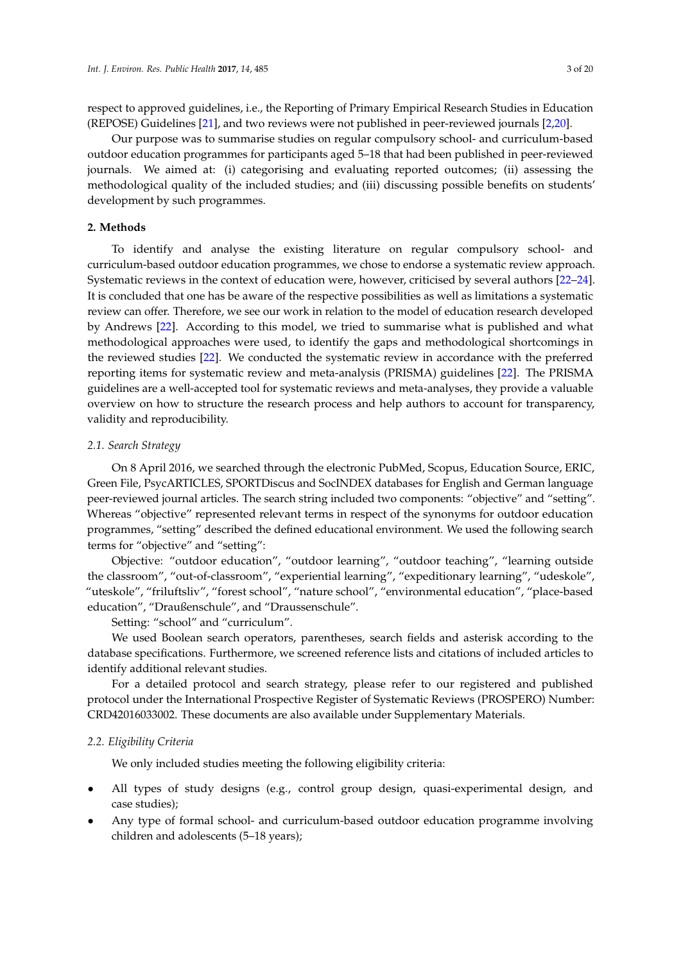respect to approved guidelines, i.e., the Reporting of Primary Empirical Research Studies in Education (REPOSE) Guidelines [\[21\]](#page-18-18), and two reviews were not published in peer-reviewed journals [\[2](#page-17-1)[,20\]](#page-18-16).

Our purpose was to summarise studies on regular compulsory school- and curriculum-based outdoor education programmes for participants aged 5–18 that had been published in peer-reviewed journals. We aimed at: (i) categorising and evaluating reported outcomes; (ii) assessing the methodological quality of the included studies; and (iii) discussing possible benefits on students' development by such programmes.

# **2. Methods**

To identify and analyse the existing literature on regular compulsory school- and curriculum-based outdoor education programmes, we chose to endorse a systematic review approach. Systematic reviews in the context of education were, however, criticised by several authors [\[22–](#page-18-19)[24\]](#page-18-20). It is concluded that one has be aware of the respective possibilities as well as limitations a systematic review can offer. Therefore, we see our work in relation to the model of education research developed by Andrews [\[22\]](#page-18-19). According to this model, we tried to summarise what is published and what methodological approaches were used, to identify the gaps and methodological shortcomings in the reviewed studies [\[22\]](#page-18-19). We conducted the systematic review in accordance with the preferred reporting items for systematic review and meta-analysis (PRISMA) guidelines [\[22\]](#page-18-19). The PRISMA guidelines are a well-accepted tool for systematic reviews and meta-analyses, they provide a valuable overview on how to structure the research process and help authors to account for transparency, validity and reproducibility.

# *2.1. Search Strategy*

On 8 April 2016, we searched through the electronic PubMed, Scopus, Education Source, ERIC, Green File, PsycARTICLES, SPORTDiscus and SocINDEX databases for English and German language peer-reviewed journal articles. The search string included two components: "objective" and "setting". Whereas "objective" represented relevant terms in respect of the synonyms for outdoor education programmes, "setting" described the defined educational environment. We used the following search terms for "objective" and "setting":

Objective: "outdoor education", "outdoor learning", "outdoor teaching", "learning outside the classroom", "out-of-classroom", "experiential learning", "expeditionary learning", "udeskole", "uteskole", "friluftsliv", "forest school", "nature school", "environmental education", "place-based education", "Draußenschule", and "Draussenschule".

Setting: "school" and "curriculum".

We used Boolean search operators, parentheses, search fields and asterisk according to the database specifications. Furthermore, we screened reference lists and citations of included articles to identify additional relevant studies.

For a detailed protocol and search strategy, please refer to our registered and published protocol under the International Prospective Register of Systematic Reviews (PROSPERO) Number: CRD42016033002. These documents are also available under Supplementary Materials.

## *2.2. Eligibility Criteria*

We only included studies meeting the following eligibility criteria:

- All types of study designs (e.g., control group design, quasi-experimental design, and case studies);
- Any type of formal school- and curriculum-based outdoor education programme involving children and adolescents (5–18 years);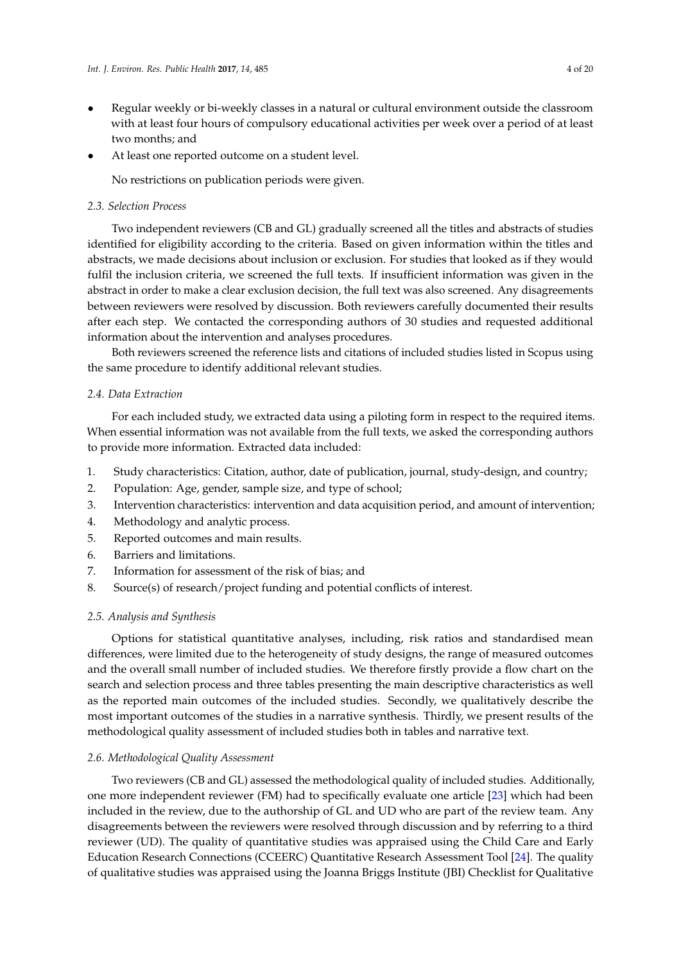- Regular weekly or bi-weekly classes in a natural or cultural environment outside the classroom with at least four hours of compulsory educational activities per week over a period of at least two months; and
- At least one reported outcome on a student level.

No restrictions on publication periods were given.

# *2.3. Selection Process*

Two independent reviewers (CB and GL) gradually screened all the titles and abstracts of studies identified for eligibility according to the criteria. Based on given information within the titles and abstracts, we made decisions about inclusion or exclusion. For studies that looked as if they would fulfil the inclusion criteria, we screened the full texts. If insufficient information was given in the abstract in order to make a clear exclusion decision, the full text was also screened. Any disagreements between reviewers were resolved by discussion. Both reviewers carefully documented their results after each step. We contacted the corresponding authors of 30 studies and requested additional information about the intervention and analyses procedures.

Both reviewers screened the reference lists and citations of included studies listed in Scopus using the same procedure to identify additional relevant studies.

# *2.4. Data Extraction*

For each included study, we extracted data using a piloting form in respect to the required items. When essential information was not available from the full texts, we asked the corresponding authors to provide more information. Extracted data included:

- 1. Study characteristics: Citation, author, date of publication, journal, study-design, and country;
- 2. Population: Age, gender, sample size, and type of school;
- 3. Intervention characteristics: intervention and data acquisition period, and amount of intervention;
- 4. Methodology and analytic process.
- 5. Reported outcomes and main results.
- 6. Barriers and limitations.
- 7. Information for assessment of the risk of bias; and
- 8. Source(s) of research/project funding and potential conflicts of interest.

# *2.5. Analysis and Synthesis*

Options for statistical quantitative analyses, including, risk ratios and standardised mean differences, were limited due to the heterogeneity of study designs, the range of measured outcomes and the overall small number of included studies. We therefore firstly provide a flow chart on the search and selection process and three tables presenting the main descriptive characteristics as well as the reported main outcomes of the included studies. Secondly, we qualitatively describe the most important outcomes of the studies in a narrative synthesis. Thirdly, we present results of the methodological quality assessment of included studies both in tables and narrative text.

# *2.6. Methodological Quality Assessment*

Two reviewers (CB and GL) assessed the methodological quality of included studies. Additionally, one more independent reviewer (FM) had to specifically evaluate one article [\[23\]](#page-18-21) which had been included in the review, due to the authorship of GL and UD who are part of the review team. Any disagreements between the reviewers were resolved through discussion and by referring to a third reviewer (UD). The quality of quantitative studies was appraised using the Child Care and Early Education Research Connections (CCEERC) Quantitative Research Assessment Tool [\[24\]](#page-18-20). The quality of qualitative studies was appraised using the Joanna Briggs Institute (JBI) Checklist for Qualitative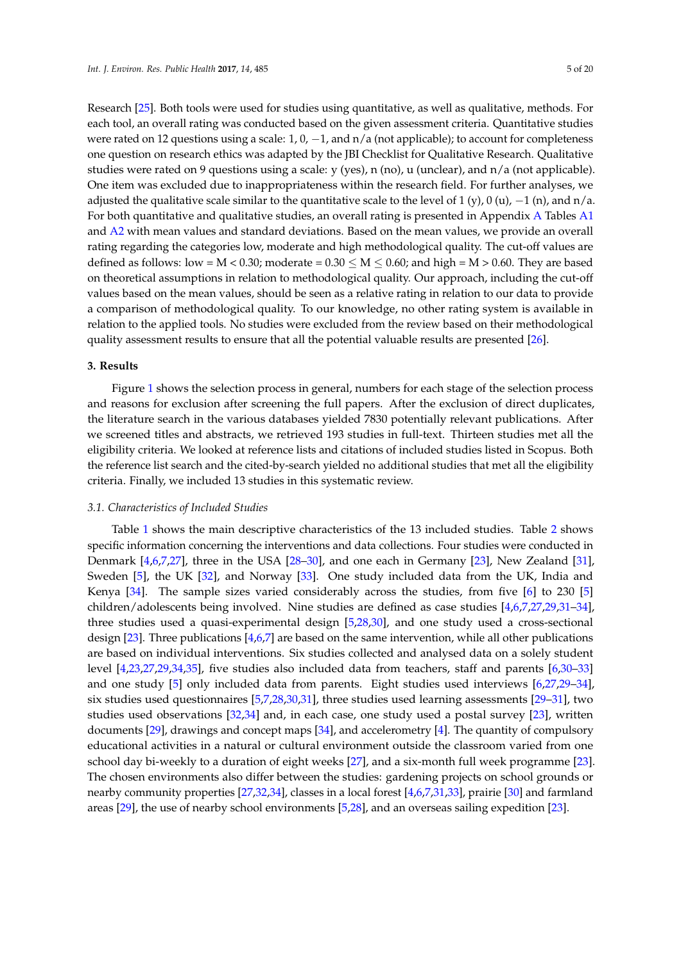Research [\[25\]](#page-18-22). Both tools were used for studies using quantitative, as well as qualitative, methods. For each tool, an overall rating was conducted based on the given assessment criteria. Quantitative studies were rated on 12 questions using a scale:  $1, 0, -1$ , and  $n/a$  (not applicable); to account for completeness one question on research ethics was adapted by the JBI Checklist for Qualitative Research. Qualitative studies were rated on 9 questions using a scale: y (yes), n (no), u (unclear), and n/a (not applicable). One item was excluded due to inappropriateness within the research field. For further analyses, we adjusted the qualitative scale similar to the quantitative scale to the level of 1 (y), 0 (u),  $-1$  (n), and n/a. For both quantitative and qualitative studies, an overall rating is presented in Appendix [A](#page-17-2) Tables [A1](#page-17-3) and [A2](#page-17-4) with mean values and standard deviations. Based on the mean values, we provide an overall rating regarding the categories low, moderate and high methodological quality. The cut-off values are defined as follows: low = M < 0.30; moderate =  $0.30 \le M \le 0.60$ ; and high = M > 0.60. They are based on theoretical assumptions in relation to methodological quality. Our approach, including the cut-off values based on the mean values, should be seen as a relative rating in relation to our data to provide a comparison of methodological quality. To our knowledge, no other rating system is available in relation to the applied tools. No studies were excluded from the review based on their methodological quality assessment results to ensure that all the potential valuable results are presented [\[26\]](#page-19-0).

# **3. Results**

Figure [1](#page-5-0) shows the selection process in general, numbers for each stage of the selection process and reasons for exclusion after screening the full papers. After the exclusion of direct duplicates, the literature search in the various databases yielded 7830 potentially relevant publications. After we screened titles and abstracts, we retrieved 193 studies in full-text. Thirteen studies met all the eligibility criteria. We looked at reference lists and citations of included studies listed in Scopus. Both the reference list search and the cited-by-search yielded no additional studies that met all the eligibility criteria. Finally, we included 13 studies in this systematic review.

# *3.1. Characteristics of Included Studies*

Table [1](#page-6-0) shows the main descriptive characteristics of the 13 included studies. Table [2](#page-7-0) shows specific information concerning the interventions and data collections. Four studies were conducted in Denmark [\[4](#page-18-1)[,6](#page-18-3)[,7,](#page-18-4)[27\]](#page-19-1), three in the USA [\[28](#page-19-2)[–30\]](#page-19-3), and one each in Germany [\[23\]](#page-18-21), New Zealand [\[31\]](#page-19-4), Sweden [\[5\]](#page-18-2), the UK [\[32\]](#page-19-5), and Norway [\[33\]](#page-19-6). One study included data from the UK, India and Kenya [\[34\]](#page-19-7). The sample sizes varied considerably across the studies, from five [\[6\]](#page-18-3) to 230 [\[5\]](#page-18-2) children/adolescents being involved. Nine studies are defined as case studies [\[4](#page-18-1)[,6,](#page-18-3)[7,](#page-18-4)[27,](#page-19-1)[29,](#page-19-8)[31](#page-19-4)[–34\]](#page-19-7), three studies used a quasi-experimental design [\[5,](#page-18-2)[28,](#page-19-2)[30\]](#page-19-3), and one study used a cross-sectional design [\[23\]](#page-18-21). Three publications [\[4](#page-18-1)[,6](#page-18-3)[,7\]](#page-18-4) are based on the same intervention, while all other publications are based on individual interventions. Six studies collected and analysed data on a solely student level [\[4,](#page-18-1)[23,](#page-18-21)[27,](#page-19-1)[29,](#page-19-8)[34,](#page-19-7)[35\]](#page-19-9), five studies also included data from teachers, staff and parents [\[6](#page-18-3)[,30](#page-19-3)[–33\]](#page-19-6) and one study [\[5\]](#page-18-2) only included data from parents. Eight studies used interviews [\[6,](#page-18-3)[27,](#page-19-1)[29](#page-19-8)[–34\]](#page-19-7), six studies used questionnaires [\[5,](#page-18-2)[7](#page-18-4)[,28,](#page-19-2)[30](#page-19-3)[,31\]](#page-19-4), three studies used learning assessments [\[29–](#page-19-8)[31\]](#page-19-4), two studies used observations [\[32,](#page-19-5)[34\]](#page-19-7) and, in each case, one study used a postal survey [\[23\]](#page-18-21), written documents [\[29\]](#page-19-8), drawings and concept maps [\[34\]](#page-19-7), and accelerometry [\[4\]](#page-18-1). The quantity of compulsory educational activities in a natural or cultural environment outside the classroom varied from one school day bi-weekly to a duration of eight weeks [\[27\]](#page-19-1), and a six-month full week programme [\[23\]](#page-18-21). The chosen environments also differ between the studies: gardening projects on school grounds or nearby community properties [\[27,](#page-19-1)[32,](#page-19-5)[34\]](#page-19-7), classes in a local forest [\[4,](#page-18-1)[6,](#page-18-3)[7,](#page-18-4)[31](#page-19-4)[,33\]](#page-19-6), prairie [\[30\]](#page-19-3) and farmland areas [\[29\]](#page-19-8), the use of nearby school environments [\[5](#page-18-2)[,28\]](#page-19-2), and an overseas sailing expedition [\[23\]](#page-18-21).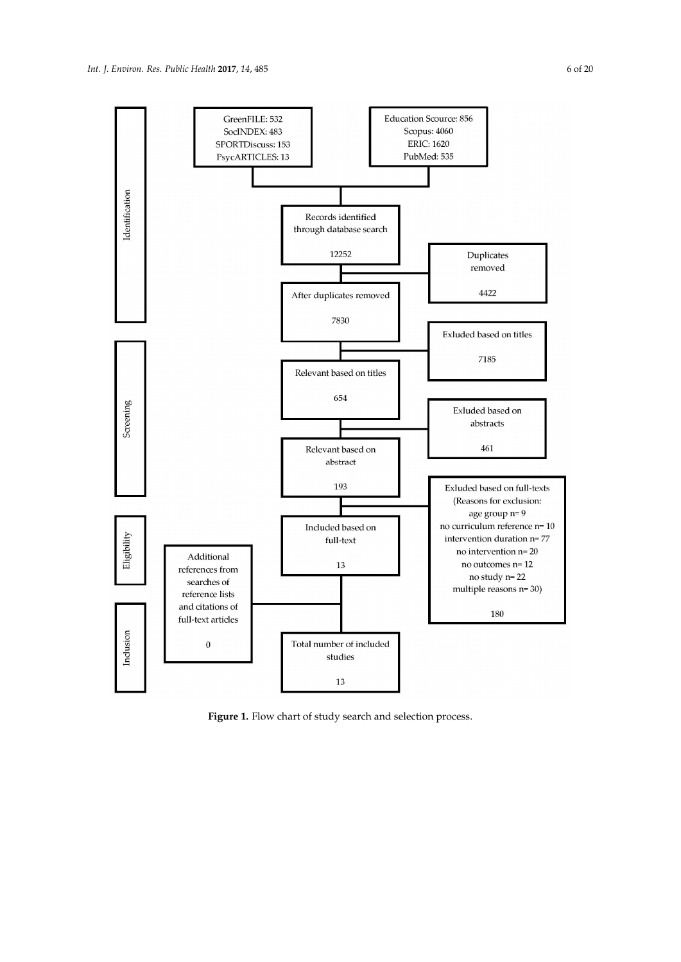<span id="page-5-0"></span>

Figure 1. Flow chart of study search and selection process.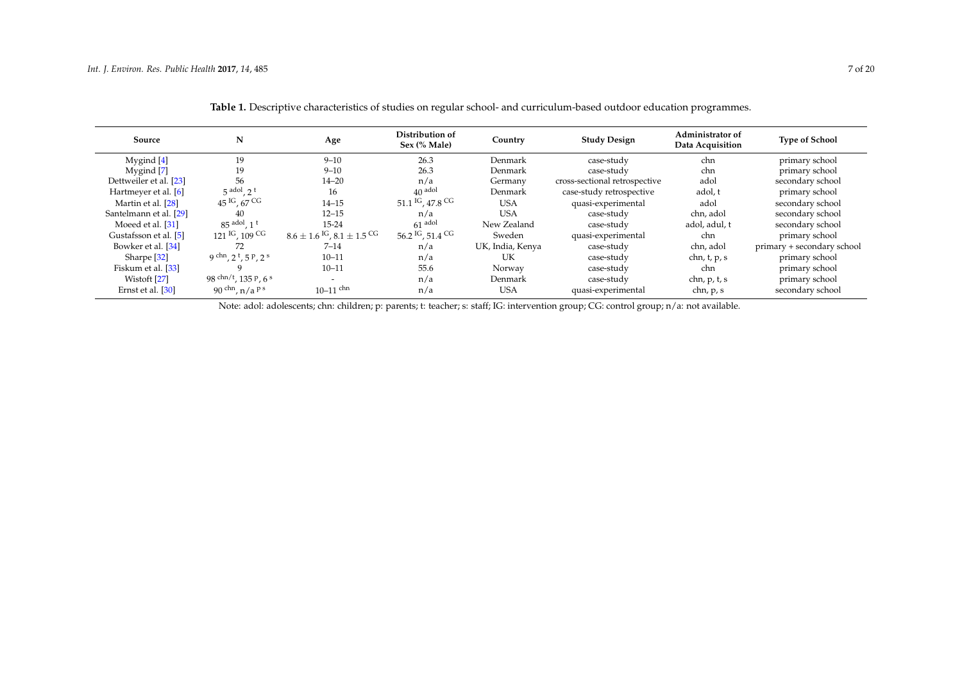| Source                 | N                                  | Age                                                       | Distribution of<br>Sex (% Male)         | Country          | <b>Study Design</b>           | Administrator of<br>Data Acquisition | <b>Type of School</b>      |
|------------------------|------------------------------------|-----------------------------------------------------------|-----------------------------------------|------------------|-------------------------------|--------------------------------------|----------------------------|
| Mygind [4]             | 19                                 | $9 - 10$                                                  | 26.3                                    | Denmark          | case-study                    | chn                                  | primary school             |
| Mygind [7]             | 19                                 | $9 - 10$                                                  | 26.3                                    | Denmark          | case-study                    | chn                                  | primary school             |
| Dettweiler et al. [23] | 56                                 | $14 - 20$                                                 | n/a                                     | Germany          | cross-sectional retrospective | adol                                 | secondary school           |
| Hartmeyer et al. [6]   | $5^{add}$ , $2^t$                  | 16                                                        | $40$ adol                               | Denmark          | case-study retrospective      | adol, t                              | primary school             |
| Martin et al. [28]     | $45^{1G}$ , 67 CG                  | $14 - 15$                                                 | 51.1 <sup>IG</sup> , 47.8 <sup>CG</sup> | <b>USA</b>       | quasi-experimental            | adol                                 | secondary school           |
| Santelmann et al. [29] | 40                                 | $12 - 15$                                                 | n/a                                     | <b>USA</b>       | case-study                    | chn, adol                            | secondary school           |
| Moeed et al. [31]      | $85$ adol, $1t$                    | $15 - 24$                                                 | $61$ adol                               | New Zealand      | case-study                    | adol, adul, t                        | secondary school           |
| Gustafsson et al. [5]  | $121$ IG, $109$ CG                 | $8.6 \pm 1.6$ <sup>IG</sup> , $8.1 \pm 1.5$ <sup>CG</sup> | 56.2 <sup>IG</sup> , 51.4 <sup>CG</sup> | Sweden           | quasi-experimental            | chn                                  | primary school             |
| Bowker et al. [34]     | 72                                 | $7 - 14$                                                  | n/a                                     | UK, India, Kenya | case-study                    | chn, adol                            | primary + secondary school |
| Sharpe $[32]$          | 9 chn, $2^{t}$ , $5^{p}$ , $2^{s}$ | $10 - 11$                                                 | n/a                                     | UK               | case-study                    | chn, $t$ , $p$ , $s$                 | primary school             |
| Fiskum et al. [33]     |                                    | $10 - 11$                                                 | 55.6                                    | Norway           | case-study                    | chn                                  | primary school             |
| Wistoft [27]           | 98 chn/t, 135 P, 6 s               | $\overline{\phantom{a}}$                                  | n/a                                     | Denmark          | case-study                    | chn, p, t, s                         | primary school             |
| Ernst et al. [30]      | 90 chn, $n/a$ <sup>ps</sup>        | $10-11$ chn                                               | n/a                                     | <b>USA</b>       | quasi-experimental            | chn, p, s                            | secondary school           |

**Table 1.** Descriptive characteristics of studies on regular school- and curriculum-based outdoor education programmes.

<span id="page-6-0"></span>Note: adol: adolescents; chn: children; p: parents; t: teacher; s: staff; IG: intervention group; CG: control group; n/a: not available.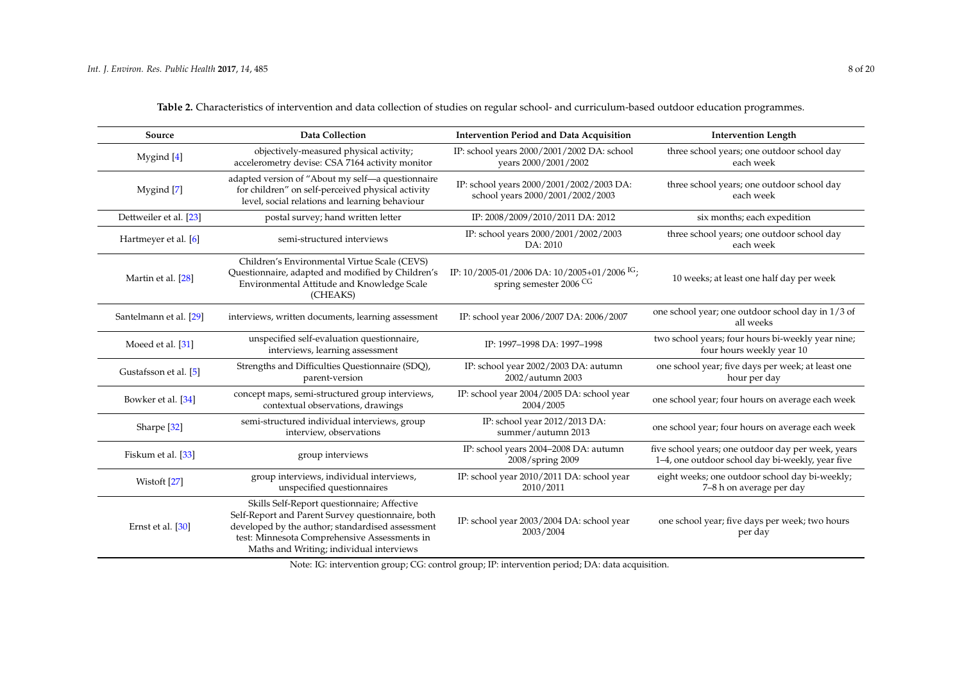<span id="page-7-0"></span>

| Source                  | <b>Data Collection</b>                                                                                                                                                                                                                           | <b>Intervention Period and Data Acquisition</b>                                        | <b>Intervention Length</b>                                                                             |
|-------------------------|--------------------------------------------------------------------------------------------------------------------------------------------------------------------------------------------------------------------------------------------------|----------------------------------------------------------------------------------------|--------------------------------------------------------------------------------------------------------|
| Mygind [4]              | objectively-measured physical activity;<br>accelerometry devise: CSA 7164 activity monitor                                                                                                                                                       | IP: school years 2000/2001/2002 DA: school<br>years 2000/2001/2002                     | three school years; one outdoor school day<br>each week                                                |
| Mygind [7]              | adapted version of "About my self-a questionnaire<br>for children" on self-perceived physical activity<br>level, social relations and learning behaviour                                                                                         | IP: school years 2000/2001/2002/2003 DA:<br>school years 2000/2001/2002/2003           | three school years; one outdoor school day<br>each week                                                |
| Dettweiler et al. [23]  | postal survey; hand written letter                                                                                                                                                                                                               | IP: 2008/2009/2010/2011 DA: 2012                                                       | six months; each expedition                                                                            |
| Hartmeyer et al. [6]    | semi-structured interviews                                                                                                                                                                                                                       | IP: school years 2000/2001/2002/2003<br>DA: 2010                                       | three school years; one outdoor school day<br>each week                                                |
| Martin et al. [28]      | Children's Environmental Virtue Scale (CEVS)<br>Questionnaire, adapted and modified by Children's<br>Environmental Attitude and Knowledge Scale<br>(CHEAKS)                                                                                      | IP: $10/2005-01/2006$ DA: $10/2005+01/2006$ <sup>IG</sup> ;<br>spring semester 2006 CG | 10 weeks; at least one half day per week                                                               |
| Santelmann et al. [29]  | interviews, written documents, learning assessment                                                                                                                                                                                               | IP: school year 2006/2007 DA: 2006/2007                                                | one school year; one outdoor school day in 1/3 of<br>all weeks                                         |
| Moeed et al. [31]       | unspecified self-evaluation questionnaire,<br>interviews, learning assessment                                                                                                                                                                    | IP: 1997-1998 DA: 1997-1998                                                            | two school years; four hours bi-weekly year nine;<br>four hours weekly year 10                         |
| Gustafsson et al. [5]   | Strengths and Difficulties Questionnaire (SDQ),<br>parent-version                                                                                                                                                                                | IP: school year 2002/2003 DA: autumn<br>2002/autumn 2003                               | one school year; five days per week; at least one<br>hour per day                                      |
| Bowker et al. [34]      | concept maps, semi-structured group interviews,<br>contextual observations, drawings                                                                                                                                                             | IP: school year 2004/2005 DA: school year<br>2004/2005                                 | one school year; four hours on average each week                                                       |
| Sharpe <sup>[32]</sup>  | semi-structured individual interviews, group<br>interview, observations                                                                                                                                                                          | IP: school year 2012/2013 DA:<br>summer/autumn 2013                                    | one school year; four hours on average each week                                                       |
| Fiskum et al. [33]      | group interviews                                                                                                                                                                                                                                 | IP: school years 2004-2008 DA: autumn<br>2008/spring 2009                              | five school years; one outdoor day per week, years<br>1-4, one outdoor school day bi-weekly, year five |
| Wistoft <sup>[27]</sup> | group interviews, individual interviews,<br>unspecified questionnaires                                                                                                                                                                           | IP: school year 2010/2011 DA: school year<br>2010/2011                                 | eight weeks; one outdoor school day bi-weekly;<br>7-8 h on average per day                             |
| Ernst et al. [30]       | Skills Self-Report questionnaire; Affective<br>Self-Report and Parent Survey questionnaire, both<br>developed by the author; standardised assessment<br>test: Minnesota Comprehensive Assessments in<br>Maths and Writing; individual interviews | IP: school year 2003/2004 DA: school year<br>2003/2004                                 | one school year; five days per week; two hours<br>per day                                              |

**Table 2.** Characteristics of intervention and data collection of studies on regular school- and curriculum-based outdoor education programmes.

Note: IG: intervention group; CG: control group; IP: intervention period; DA: data acquisition.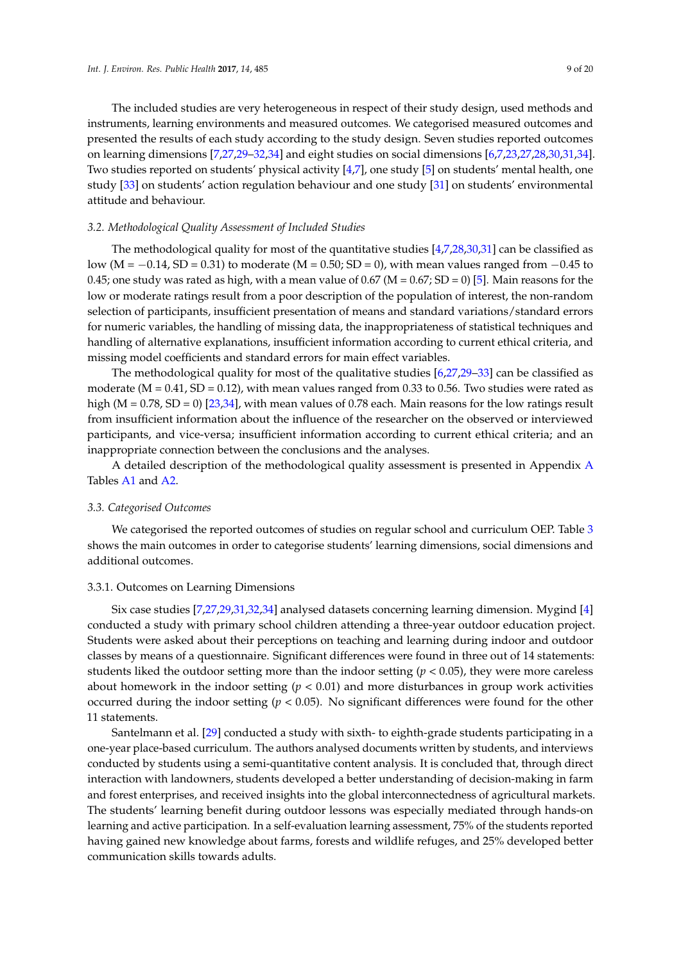The included studies are very heterogeneous in respect of their study design, used methods and instruments, learning environments and measured outcomes. We categorised measured outcomes and presented the results of each study according to the study design. Seven studies reported outcomes on learning dimensions [\[7](#page-18-4)[,27](#page-19-1)[,29–](#page-19-8)[32](#page-19-5)[,34\]](#page-19-7) and eight studies on social dimensions [\[6](#page-18-3)[,7](#page-18-4)[,23](#page-18-21)[,27,](#page-19-1)[28,](#page-19-2)[30,](#page-19-3)[31,](#page-19-4)[34\]](#page-19-7). Two studies reported on students' physical activity [\[4](#page-18-1)[,7\]](#page-18-4), one study [\[5\]](#page-18-2) on students' mental health, one study [\[33\]](#page-19-6) on students' action regulation behaviour and one study [\[31\]](#page-19-4) on students' environmental attitude and behaviour.

## *3.2. Methodological Quality Assessment of Included Studies*

The methodological quality for most of the quantitative studies [\[4,](#page-18-1)[7,](#page-18-4)[28,](#page-19-2)[30,](#page-19-3)[31\]](#page-19-4) can be classified as low (M =  $-0.14$ , SD = 0.31) to moderate (M = 0.50; SD = 0), with mean values ranged from  $-0.45$  to 0.45; one study was rated as high, with a mean value of 0.67 (M = 0.67; SD = 0) [\[5\]](#page-18-2). Main reasons for the low or moderate ratings result from a poor description of the population of interest, the non-random selection of participants, insufficient presentation of means and standard variations/standard errors for numeric variables, the handling of missing data, the inappropriateness of statistical techniques and handling of alternative explanations, insufficient information according to current ethical criteria, and missing model coefficients and standard errors for main effect variables.

The methodological quality for most of the qualitative studies [\[6,](#page-18-3)[27,](#page-19-1)[29–](#page-19-8)[33\]](#page-19-6) can be classified as moderate ( $M = 0.41$ ,  $SD = 0.12$ ), with mean values ranged from 0.33 to 0.56. Two studies were rated as high  $(M = 0.78, SD = 0)$  [\[23,](#page-18-21)[34\]](#page-19-7), with mean values of 0.78 each. Main reasons for the low ratings result from insufficient information about the influence of the researcher on the observed or interviewed participants, and vice-versa; insufficient information according to current ethical criteria; and an inappropriate connection between the conclusions and the analyses.

A detailed description of the methodological quality assessment is presented in Appendix [A](#page-17-2) Tables [A1](#page-17-3) and [A2.](#page-17-4)

## *3.3. Categorised Outcomes*

We categorised the reported outcomes of studies on regular school and curriculum OEP. Table [3](#page-10-0) shows the main outcomes in order to categorise students' learning dimensions, social dimensions and additional outcomes.

#### 3.3.1. Outcomes on Learning Dimensions

Six case studies [\[7,](#page-18-4)[27,](#page-19-1)[29,](#page-19-8)[31](#page-19-4)[,32](#page-19-5)[,34\]](#page-19-7) analysed datasets concerning learning dimension. Mygind [\[4\]](#page-18-1) conducted a study with primary school children attending a three-year outdoor education project. Students were asked about their perceptions on teaching and learning during indoor and outdoor classes by means of a questionnaire. Significant differences were found in three out of 14 statements: students liked the outdoor setting more than the indoor setting ( $p < 0.05$ ), they were more careless about homework in the indoor setting (*p* < 0.01) and more disturbances in group work activities occurred during the indoor setting  $(p < 0.05)$ . No significant differences were found for the other 11 statements.

Santelmann et al. [\[29\]](#page-19-8) conducted a study with sixth- to eighth-grade students participating in a one-year place-based curriculum. The authors analysed documents written by students, and interviews conducted by students using a semi-quantitative content analysis. It is concluded that, through direct interaction with landowners, students developed a better understanding of decision-making in farm and forest enterprises, and received insights into the global interconnectedness of agricultural markets. The students' learning benefit during outdoor lessons was especially mediated through hands-on learning and active participation. In a self-evaluation learning assessment, 75% of the students reported having gained new knowledge about farms, forests and wildlife refuges, and 25% developed better communication skills towards adults.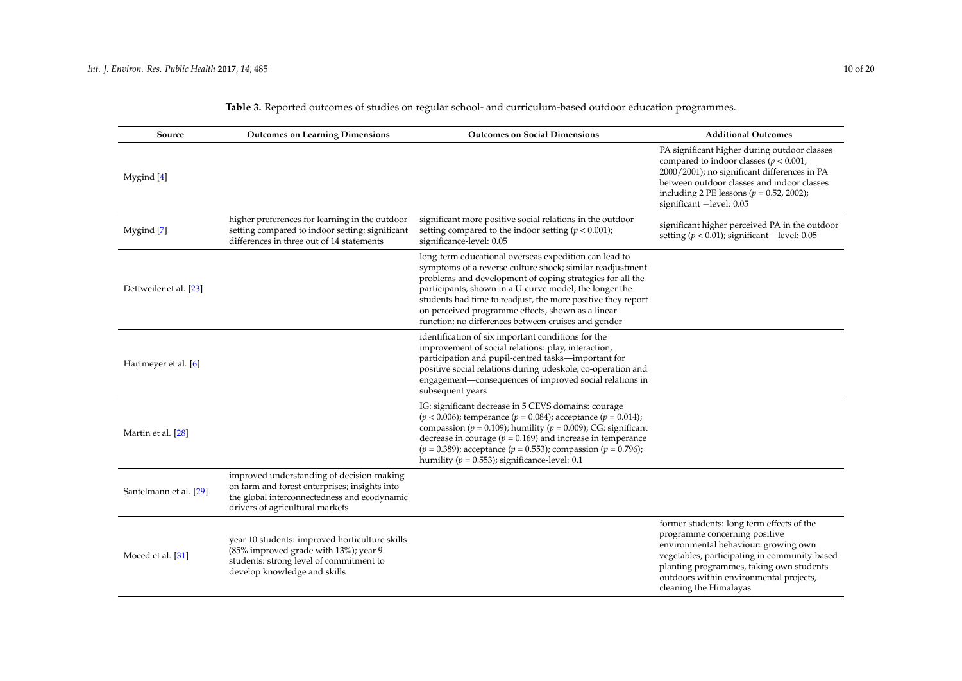| Source                 | <b>Outcomes on Learning Dimensions</b>                                                                                                                                        | <b>Outcomes on Social Dimensions</b>                                                                                                                                                                                                                                                                                                                                                                                  | <b>Additional Outcomes</b>                                                                                                                                                                                                                                                          |
|------------------------|-------------------------------------------------------------------------------------------------------------------------------------------------------------------------------|-----------------------------------------------------------------------------------------------------------------------------------------------------------------------------------------------------------------------------------------------------------------------------------------------------------------------------------------------------------------------------------------------------------------------|-------------------------------------------------------------------------------------------------------------------------------------------------------------------------------------------------------------------------------------------------------------------------------------|
| Mygind $[4]$           |                                                                                                                                                                               |                                                                                                                                                                                                                                                                                                                                                                                                                       | PA significant higher during outdoor classes<br>compared to indoor classes ( $p < 0.001$ ,<br>2000/2001); no significant differences in PA<br>between outdoor classes and indoor classes<br>including 2 PE lessons ( $p = 0.52$ , 2002);<br>significant -level: 0.05                |
| Mygind [7]             | higher preferences for learning in the outdoor<br>setting compared to indoor setting; significant<br>differences in three out of 14 statements                                | significant more positive social relations in the outdoor<br>setting compared to the indoor setting $(p < 0.001)$ ;<br>significance-level: 0.05                                                                                                                                                                                                                                                                       | significant higher perceived PA in the outdoor<br>setting ( $p < 0.01$ ); significant -level: 0.05                                                                                                                                                                                  |
| Dettweiler et al. [23] |                                                                                                                                                                               | long-term educational overseas expedition can lead to<br>symptoms of a reverse culture shock; similar readjustment<br>problems and development of coping strategies for all the<br>participants, shown in a U-curve model; the longer the<br>students had time to readjust, the more positive they report<br>on perceived programme effects, shown as a linear<br>function; no differences between cruises and gender |                                                                                                                                                                                                                                                                                     |
| Hartmeyer et al. [6]   |                                                                                                                                                                               | identification of six important conditions for the<br>improvement of social relations: play, interaction,<br>participation and pupil-centred tasks-important for<br>positive social relations during udeskole; co-operation and<br>engagement-consequences of improved social relations in<br>subsequent years                                                                                                        |                                                                                                                                                                                                                                                                                     |
| Martin et al. [28]     |                                                                                                                                                                               | IG: significant decrease in 5 CEVS domains: courage<br>$(p < 0.006)$ ; temperance $(p = 0.084)$ ; acceptance $(p = 0.014)$ ;<br>compassion ( $p = 0.109$ ); humility ( $p = 0.009$ ); CG: significant<br>decrease in courage ( $p = 0.169$ ) and increase in temperance<br>$(p = 0.389)$ ; acceptance $(p = 0.553)$ ; compassion $(p = 0.796)$ ;<br>humility ( $p = 0.553$ ); significance-level: 0.1                 |                                                                                                                                                                                                                                                                                     |
| Santelmann et al. [29] | improved understanding of decision-making<br>on farm and forest enterprises; insights into<br>the global interconnectedness and ecodynamic<br>drivers of agricultural markets |                                                                                                                                                                                                                                                                                                                                                                                                                       |                                                                                                                                                                                                                                                                                     |
| Moeed et al. [31]      | year 10 students: improved horticulture skills<br>(85% improved grade with 13%); year 9<br>students: strong level of commitment to<br>develop knowledge and skills            |                                                                                                                                                                                                                                                                                                                                                                                                                       | former students: long term effects of the<br>programme concerning positive<br>environmental behaviour: growing own<br>vegetables, participating in community-based<br>planting programmes, taking own students<br>outdoors within environmental projects,<br>cleaning the Himalayas |

# **Table 3.** Reported outcomes of studies on regular school- and curriculum-based outdoor education programmes.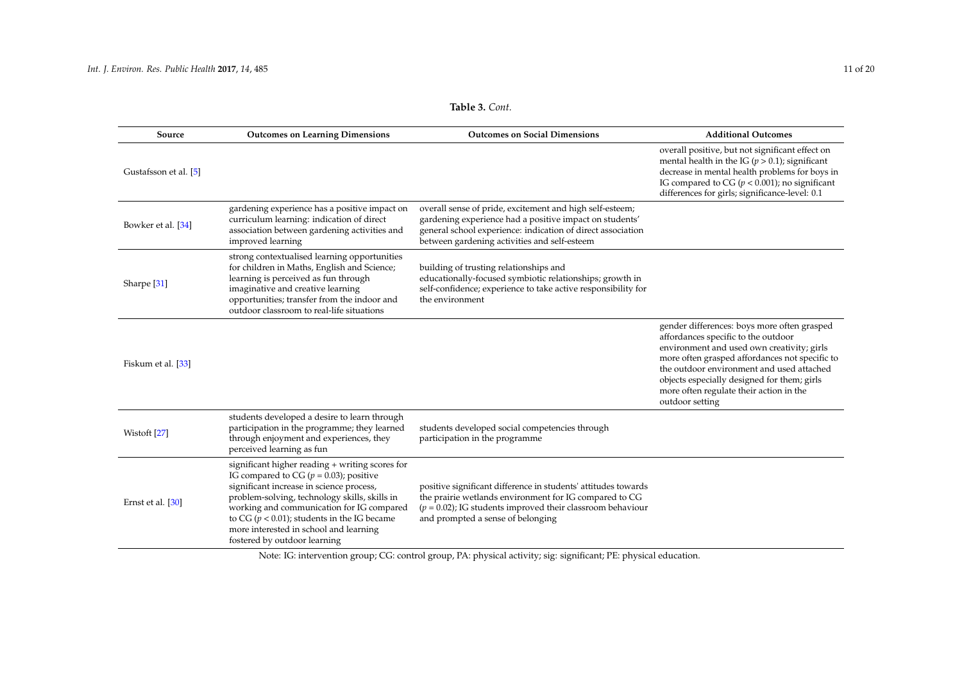| Source                 | <b>Outcomes on Learning Dimensions</b>                                                                                                                                                                                                                                                                                                                               | <b>Outcomes on Social Dimensions</b>                                                                                                                                                                                               | <b>Additional Outcomes</b>                                                                                                                                                                                                                                                                                                                   |
|------------------------|----------------------------------------------------------------------------------------------------------------------------------------------------------------------------------------------------------------------------------------------------------------------------------------------------------------------------------------------------------------------|------------------------------------------------------------------------------------------------------------------------------------------------------------------------------------------------------------------------------------|----------------------------------------------------------------------------------------------------------------------------------------------------------------------------------------------------------------------------------------------------------------------------------------------------------------------------------------------|
| Gustafsson et al. [5]  |                                                                                                                                                                                                                                                                                                                                                                      |                                                                                                                                                                                                                                    | overall positive, but not significant effect on<br>mental health in the IG ( $p > 0.1$ ); significant<br>decrease in mental health problems for boys in<br>IG compared to CG ( $p < 0.001$ ); no significant<br>differences for girls; significance-level: 0.1                                                                               |
| Bowker et al. [34]     | gardening experience has a positive impact on<br>curriculum learning: indication of direct<br>association between gardening activities and<br>improved learning                                                                                                                                                                                                      | overall sense of pride, excitement and high self-esteem;<br>gardening experience had a positive impact on students'<br>general school experience: indication of direct association<br>between gardening activities and self-esteem |                                                                                                                                                                                                                                                                                                                                              |
| Sharpe <sup>[31]</sup> | strong contextualised learning opportunities<br>for children in Maths, English and Science;<br>learning is perceived as fun through<br>imaginative and creative learning<br>opportunities; transfer from the indoor and<br>outdoor classroom to real-life situations                                                                                                 | building of trusting relationships and<br>educationally-focused symbiotic relationships; growth in<br>self-confidence; experience to take active responsibility for<br>the environment                                             |                                                                                                                                                                                                                                                                                                                                              |
| Fiskum et al. [33]     |                                                                                                                                                                                                                                                                                                                                                                      |                                                                                                                                                                                                                                    | gender differences: boys more often grasped<br>affordances specific to the outdoor<br>environment and used own creativity; girls<br>more often grasped affordances not specific to<br>the outdoor environment and used attached<br>objects especially designed for them; girls<br>more often regulate their action in the<br>outdoor setting |
| Wistoft [27]           | students developed a desire to learn through<br>participation in the programme; they learned<br>through enjoyment and experiences, they<br>perceived learning as fun                                                                                                                                                                                                 | students developed social competencies through<br>participation in the programme                                                                                                                                                   |                                                                                                                                                                                                                                                                                                                                              |
| Ernst et al. [30]      | significant higher reading + writing scores for<br>IG compared to CG ( $p = 0.03$ ); positive<br>significant increase in science process,<br>problem-solving, technology skills, skills in<br>working and communication for IG compared<br>to CG ( $p < 0.01$ ); students in the IG became<br>more interested in school and learning<br>fostered by outdoor learning | positive significant difference in students' attitudes towards<br>the prairie wetlands environment for IG compared to CG<br>$(p = 0.02)$ ; IG students improved their classroom behaviour<br>and prompted a sense of belonging     |                                                                                                                                                                                                                                                                                                                                              |

**Table 3.** *Cont.*

<span id="page-10-0"></span>Note: IG: intervention group; CG: control group, PA: physical activity; sig: significant; PE: physical education.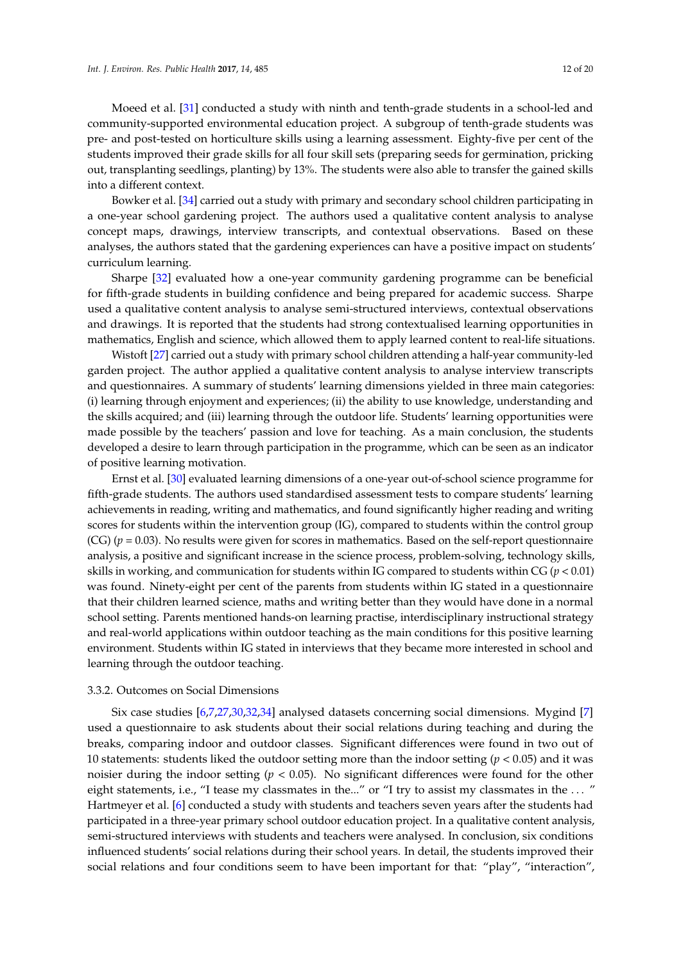Moeed et al. [\[31\]](#page-19-4) conducted a study with ninth and tenth-grade students in a school-led and community-supported environmental education project. A subgroup of tenth-grade students was pre- and post-tested on horticulture skills using a learning assessment. Eighty-five per cent of the students improved their grade skills for all four skill sets (preparing seeds for germination, pricking out, transplanting seedlings, planting) by 13%. The students were also able to transfer the gained skills into a different context.

Bowker et al. [\[34\]](#page-19-7) carried out a study with primary and secondary school children participating in a one-year school gardening project. The authors used a qualitative content analysis to analyse concept maps, drawings, interview transcripts, and contextual observations. Based on these analyses, the authors stated that the gardening experiences can have a positive impact on students' curriculum learning.

Sharpe [\[32\]](#page-19-5) evaluated how a one-year community gardening programme can be beneficial for fifth-grade students in building confidence and being prepared for academic success. Sharpe used a qualitative content analysis to analyse semi-structured interviews, contextual observations and drawings. It is reported that the students had strong contextualised learning opportunities in mathematics, English and science, which allowed them to apply learned content to real-life situations.

Wistoft [\[27\]](#page-19-1) carried out a study with primary school children attending a half-year community-led garden project. The author applied a qualitative content analysis to analyse interview transcripts and questionnaires. A summary of students' learning dimensions yielded in three main categories: (i) learning through enjoyment and experiences; (ii) the ability to use knowledge, understanding and the skills acquired; and (iii) learning through the outdoor life. Students' learning opportunities were made possible by the teachers' passion and love for teaching. As a main conclusion, the students developed a desire to learn through participation in the programme, which can be seen as an indicator of positive learning motivation.

Ernst et al. [\[30\]](#page-19-3) evaluated learning dimensions of a one-year out-of-school science programme for fifth-grade students. The authors used standardised assessment tests to compare students' learning achievements in reading, writing and mathematics, and found significantly higher reading and writing scores for students within the intervention group (IG), compared to students within the control group  $(CG)$  ( $p = 0.03$ ). No results were given for scores in mathematics. Based on the self-report questionnaire analysis, a positive and significant increase in the science process, problem-solving, technology skills, skills in working, and communication for students within IG compared to students within CG (*p* < 0.01) was found. Ninety-eight per cent of the parents from students within IG stated in a questionnaire that their children learned science, maths and writing better than they would have done in a normal school setting. Parents mentioned hands-on learning practise, interdisciplinary instructional strategy and real-world applications within outdoor teaching as the main conditions for this positive learning environment. Students within IG stated in interviews that they became more interested in school and learning through the outdoor teaching.

#### 3.3.2. Outcomes on Social Dimensions

Six case studies [\[6,](#page-18-3)[7](#page-18-4)[,27,](#page-19-1)[30,](#page-19-3)[32,](#page-19-5)[34\]](#page-19-7) analysed datasets concerning social dimensions. Mygind [\[7\]](#page-18-4) used a questionnaire to ask students about their social relations during teaching and during the breaks, comparing indoor and outdoor classes. Significant differences were found in two out of 10 statements: students liked the outdoor setting more than the indoor setting (*p* < 0.05) and it was noisier during the indoor setting (*p* < 0.05). No significant differences were found for the other eight statements, i.e., "I tease my classmates in the..." or "I try to assist my classmates in the ... " Hartmeyer et al. [\[6\]](#page-18-3) conducted a study with students and teachers seven years after the students had participated in a three-year primary school outdoor education project. In a qualitative content analysis, semi-structured interviews with students and teachers were analysed. In conclusion, six conditions influenced students' social relations during their school years. In detail, the students improved their social relations and four conditions seem to have been important for that: "play", "interaction",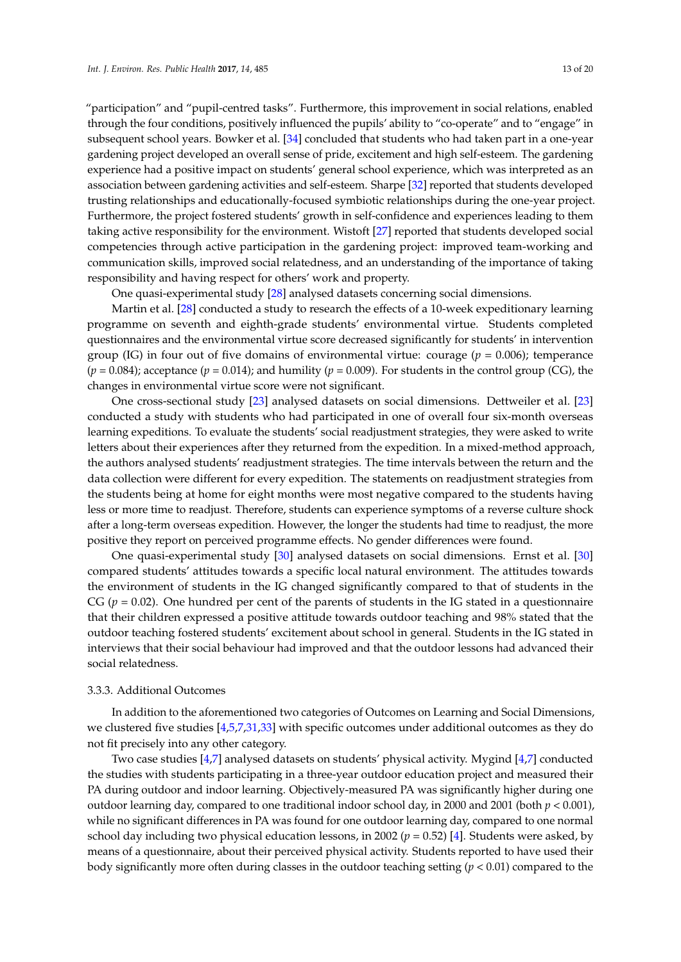"participation" and "pupil-centred tasks". Furthermore, this improvement in social relations, enabled through the four conditions, positively influenced the pupils' ability to "co-operate" and to "engage" in subsequent school years. Bowker et al. [\[34\]](#page-19-7) concluded that students who had taken part in a one-year gardening project developed an overall sense of pride, excitement and high self-esteem. The gardening experience had a positive impact on students' general school experience, which was interpreted as an association between gardening activities and self-esteem. Sharpe [\[32\]](#page-19-5) reported that students developed trusting relationships and educationally-focused symbiotic relationships during the one-year project. Furthermore, the project fostered students' growth in self-confidence and experiences leading to them taking active responsibility for the environment. Wistoft [\[27\]](#page-19-1) reported that students developed social competencies through active participation in the gardening project: improved team-working and communication skills, improved social relatedness, and an understanding of the importance of taking responsibility and having respect for others' work and property.

One quasi-experimental study [\[28\]](#page-19-2) analysed datasets concerning social dimensions.

Martin et al. [\[28\]](#page-19-2) conducted a study to research the effects of a 10-week expeditionary learning programme on seventh and eighth-grade students' environmental virtue. Students completed questionnaires and the environmental virtue score decreased significantly for students' in intervention group (IG) in four out of five domains of environmental virtue: courage ( $p = 0.006$ ); temperance  $(p = 0.084)$ ; acceptance  $(p = 0.014)$ ; and humility  $(p = 0.009)$ . For students in the control group (CG), the changes in environmental virtue score were not significant.

One cross-sectional study [\[23\]](#page-18-21) analysed datasets on social dimensions. Dettweiler et al. [\[23\]](#page-18-21) conducted a study with students who had participated in one of overall four six-month overseas learning expeditions. To evaluate the students' social readjustment strategies, they were asked to write letters about their experiences after they returned from the expedition. In a mixed-method approach, the authors analysed students' readjustment strategies. The time intervals between the return and the data collection were different for every expedition. The statements on readjustment strategies from the students being at home for eight months were most negative compared to the students having less or more time to readjust. Therefore, students can experience symptoms of a reverse culture shock after a long-term overseas expedition. However, the longer the students had time to readjust, the more positive they report on perceived programme effects. No gender differences were found.

One quasi-experimental study [\[30\]](#page-19-3) analysed datasets on social dimensions. Ernst et al. [\[30\]](#page-19-3) compared students' attitudes towards a specific local natural environment. The attitudes towards the environment of students in the IG changed significantly compared to that of students in the CG ( $p = 0.02$ ). One hundred per cent of the parents of students in the IG stated in a questionnaire that their children expressed a positive attitude towards outdoor teaching and 98% stated that the outdoor teaching fostered students' excitement about school in general. Students in the IG stated in interviews that their social behaviour had improved and that the outdoor lessons had advanced their social relatedness.

# 3.3.3. Additional Outcomes

In addition to the aforementioned two categories of Outcomes on Learning and Social Dimensions, we clustered five studies [\[4](#page-18-1)[,5](#page-18-2)[,7](#page-18-4)[,31](#page-19-4)[,33\]](#page-19-6) with specific outcomes under additional outcomes as they do not fit precisely into any other category.

Two case studies [\[4,](#page-18-1)[7\]](#page-18-4) analysed datasets on students' physical activity. Mygind [\[4,](#page-18-1)[7\]](#page-18-4) conducted the studies with students participating in a three-year outdoor education project and measured their PA during outdoor and indoor learning. Objectively-measured PA was significantly higher during one outdoor learning day, compared to one traditional indoor school day, in 2000 and 2001 (both *p* < 0.001), while no significant differences in PA was found for one outdoor learning day, compared to one normal school day including two physical education lessons, in 2002 ( $p = 0.52$ ) [\[4\]](#page-18-1). Students were asked, by means of a questionnaire, about their perceived physical activity. Students reported to have used their body significantly more often during classes in the outdoor teaching setting (*p* < 0.01) compared to the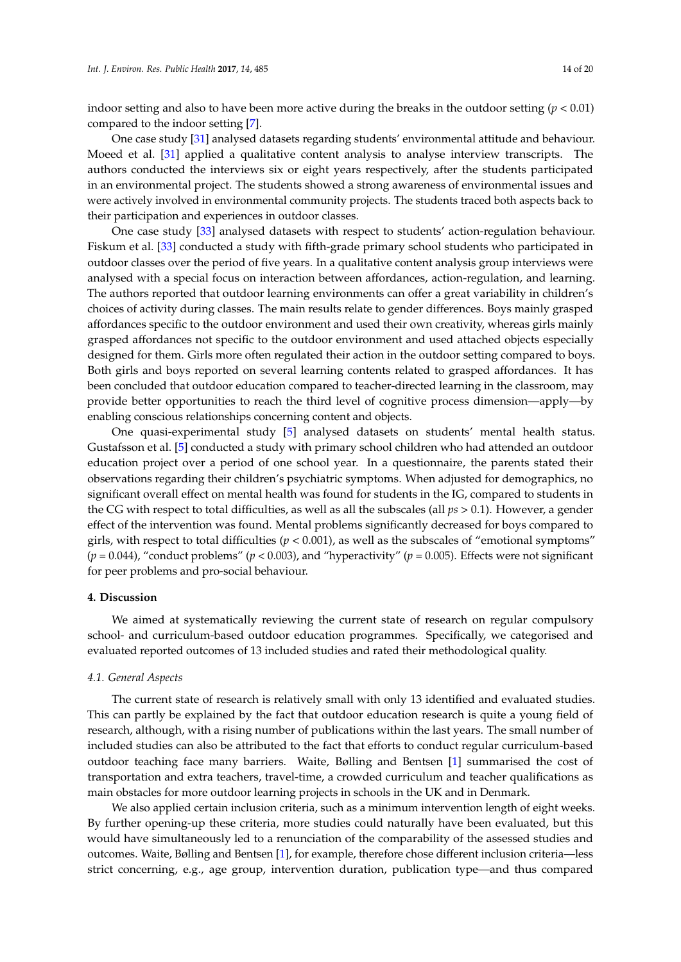indoor setting and also to have been more active during the breaks in the outdoor setting  $(p < 0.01)$ compared to the indoor setting [\[7\]](#page-18-4).

One case study [\[31\]](#page-19-4) analysed datasets regarding students' environmental attitude and behaviour. Moeed et al. [\[31\]](#page-19-4) applied a qualitative content analysis to analyse interview transcripts. The authors conducted the interviews six or eight years respectively, after the students participated in an environmental project. The students showed a strong awareness of environmental issues and were actively involved in environmental community projects. The students traced both aspects back to their participation and experiences in outdoor classes.

One case study [\[33\]](#page-19-6) analysed datasets with respect to students' action-regulation behaviour. Fiskum et al. [\[33\]](#page-19-6) conducted a study with fifth-grade primary school students who participated in outdoor classes over the period of five years. In a qualitative content analysis group interviews were analysed with a special focus on interaction between affordances, action-regulation, and learning. The authors reported that outdoor learning environments can offer a great variability in children's choices of activity during classes. The main results relate to gender differences. Boys mainly grasped affordances specific to the outdoor environment and used their own creativity, whereas girls mainly grasped affordances not specific to the outdoor environment and used attached objects especially designed for them. Girls more often regulated their action in the outdoor setting compared to boys. Both girls and boys reported on several learning contents related to grasped affordances. It has been concluded that outdoor education compared to teacher-directed learning in the classroom, may provide better opportunities to reach the third level of cognitive process dimension—apply—by enabling conscious relationships concerning content and objects.

One quasi-experimental study [\[5\]](#page-18-2) analysed datasets on students' mental health status. Gustafsson et al. [\[5\]](#page-18-2) conducted a study with primary school children who had attended an outdoor education project over a period of one school year. In a questionnaire, the parents stated their observations regarding their children's psychiatric symptoms. When adjusted for demographics, no significant overall effect on mental health was found for students in the IG, compared to students in the CG with respect to total difficulties, as well as all the subscales (all *ps* > 0.1). However, a gender effect of the intervention was found. Mental problems significantly decreased for boys compared to girls, with respect to total difficulties  $(p < 0.001)$ , as well as the subscales of "emotional symptoms" ( $p = 0.044$ ), "conduct problems" ( $p < 0.003$ ), and "hyperactivity" ( $p = 0.005$ ). Effects were not significant for peer problems and pro-social behaviour.

# **4. Discussion**

We aimed at systematically reviewing the current state of research on regular compulsory school- and curriculum-based outdoor education programmes. Specifically, we categorised and evaluated reported outcomes of 13 included studies and rated their methodological quality.

# *4.1. General Aspects*

The current state of research is relatively small with only 13 identified and evaluated studies. This can partly be explained by the fact that outdoor education research is quite a young field of research, although, with a rising number of publications within the last years. The small number of included studies can also be attributed to the fact that efforts to conduct regular curriculum-based outdoor teaching face many barriers. Waite, Bølling and Bentsen [\[1\]](#page-17-0) summarised the cost of transportation and extra teachers, travel-time, a crowded curriculum and teacher qualifications as main obstacles for more outdoor learning projects in schools in the UK and in Denmark.

We also applied certain inclusion criteria, such as a minimum intervention length of eight weeks. By further opening-up these criteria, more studies could naturally have been evaluated, but this would have simultaneously led to a renunciation of the comparability of the assessed studies and outcomes. Waite, Bølling and Bentsen [\[1\]](#page-17-0), for example, therefore chose different inclusion criteria—less strict concerning, e.g., age group, intervention duration, publication type—and thus compared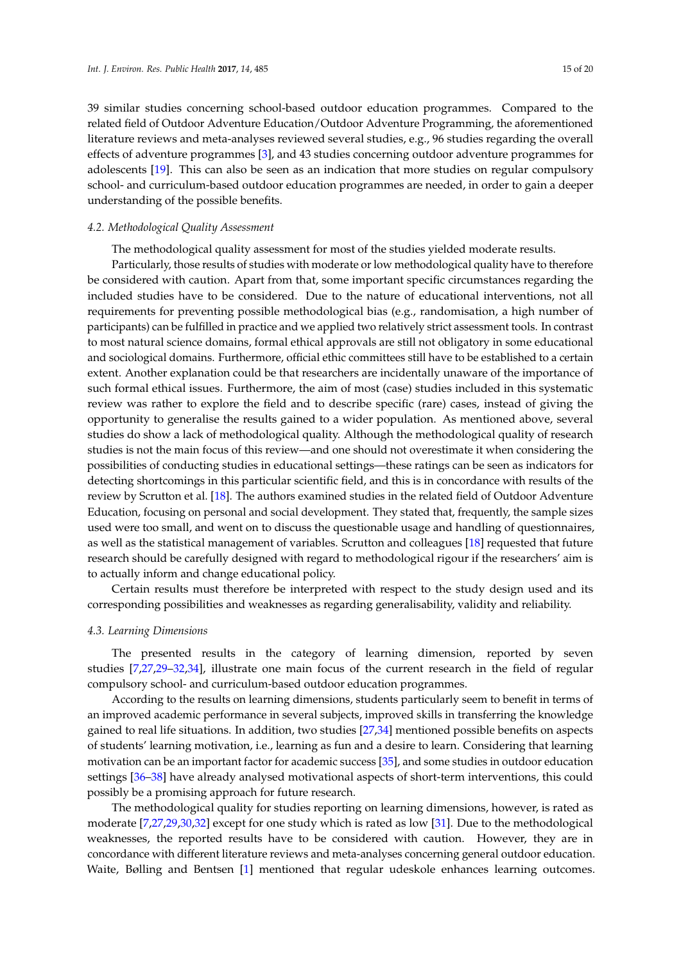39 similar studies concerning school-based outdoor education programmes. Compared to the related field of Outdoor Adventure Education/Outdoor Adventure Programming, the aforementioned literature reviews and meta-analyses reviewed several studies, e.g., 96 studies regarding the overall effects of adventure programmes [\[3\]](#page-18-0), and 43 studies concerning outdoor adventure programmes for adolescents [\[19\]](#page-18-17). This can also be seen as an indication that more studies on regular compulsory school- and curriculum-based outdoor education programmes are needed, in order to gain a deeper understanding of the possible benefits.

## *4.2. Methodological Quality Assessment*

The methodological quality assessment for most of the studies yielded moderate results.

Particularly, those results of studies with moderate or low methodological quality have to therefore be considered with caution. Apart from that, some important specific circumstances regarding the included studies have to be considered. Due to the nature of educational interventions, not all requirements for preventing possible methodological bias (e.g., randomisation, a high number of participants) can be fulfilled in practice and we applied two relatively strict assessment tools. In contrast to most natural science domains, formal ethical approvals are still not obligatory in some educational and sociological domains. Furthermore, official ethic committees still have to be established to a certain extent. Another explanation could be that researchers are incidentally unaware of the importance of such formal ethical issues. Furthermore, the aim of most (case) studies included in this systematic review was rather to explore the field and to describe specific (rare) cases, instead of giving the opportunity to generalise the results gained to a wider population. As mentioned above, several studies do show a lack of methodological quality. Although the methodological quality of research studies is not the main focus of this review—and one should not overestimate it when considering the possibilities of conducting studies in educational settings—these ratings can be seen as indicators for detecting shortcomings in this particular scientific field, and this is in concordance with results of the review by Scrutton et al. [\[18\]](#page-18-15). The authors examined studies in the related field of Outdoor Adventure Education, focusing on personal and social development. They stated that, frequently, the sample sizes used were too small, and went on to discuss the questionable usage and handling of questionnaires, as well as the statistical management of variables. Scrutton and colleagues [\[18\]](#page-18-15) requested that future research should be carefully designed with regard to methodological rigour if the researchers' aim is to actually inform and change educational policy.

Certain results must therefore be interpreted with respect to the study design used and its corresponding possibilities and weaknesses as regarding generalisability, validity and reliability.

### *4.3. Learning Dimensions*

The presented results in the category of learning dimension, reported by seven studies [\[7](#page-18-4)[,27,](#page-19-1)[29](#page-19-8)[–32,](#page-19-5)[34\]](#page-19-7), illustrate one main focus of the current research in the field of regular compulsory school- and curriculum-based outdoor education programmes.

According to the results on learning dimensions, students particularly seem to benefit in terms of an improved academic performance in several subjects, improved skills in transferring the knowledge gained to real life situations. In addition, two studies [\[27](#page-19-1)[,34\]](#page-19-7) mentioned possible benefits on aspects of students' learning motivation, i.e., learning as fun and a desire to learn. Considering that learning motivation can be an important factor for academic success [\[35\]](#page-19-9), and some studies in outdoor education settings [\[36](#page-19-18)[–38\]](#page-19-19) have already analysed motivational aspects of short-term interventions, this could possibly be a promising approach for future research.

The methodological quality for studies reporting on learning dimensions, however, is rated as moderate [\[7,](#page-18-4)[27,](#page-19-1)[29,](#page-19-8)[30,](#page-19-3)[32\]](#page-19-5) except for one study which is rated as low [\[31\]](#page-19-4). Due to the methodological weaknesses, the reported results have to be considered with caution. However, they are in concordance with different literature reviews and meta-analyses concerning general outdoor education. Waite, Bølling and Bentsen [\[1\]](#page-17-0) mentioned that regular udeskole enhances learning outcomes.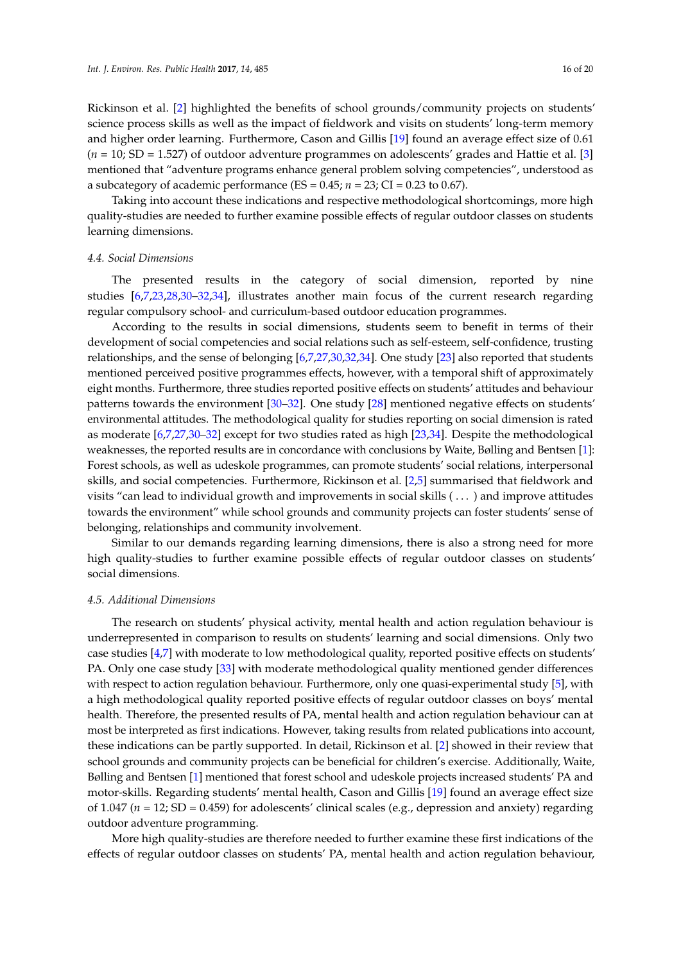Rickinson et al. [\[2\]](#page-17-1) highlighted the benefits of school grounds/community projects on students' science process skills as well as the impact of fieldwork and visits on students' long-term memory and higher order learning. Furthermore, Cason and Gillis [\[19\]](#page-18-17) found an average effect size of 0.61 (*n* = 10; SD = 1.527) of outdoor adventure programmes on adolescents' grades and Hattie et al. [\[3\]](#page-18-0) mentioned that "adventure programs enhance general problem solving competencies", understood as a subcategory of academic performance (ES =  $0.45$ ;  $n = 23$ ; CI =  $0.23$  to 0.67).

Taking into account these indications and respective methodological shortcomings, more high quality-studies are needed to further examine possible effects of regular outdoor classes on students learning dimensions.

### *4.4. Social Dimensions*

The presented results in the category of social dimension, reported by nine studies [\[6,](#page-18-3)[7](#page-18-4)[,23,](#page-18-21)[28,](#page-19-2)[30](#page-19-3)[–32,](#page-19-5)[34\]](#page-19-7), illustrates another main focus of the current research regarding regular compulsory school- and curriculum-based outdoor education programmes.

According to the results in social dimensions, students seem to benefit in terms of their development of social competencies and social relations such as self-esteem, self-confidence, trusting relationships, and the sense of belonging [\[6](#page-18-3)[,7](#page-18-4)[,27](#page-19-1)[,30,](#page-19-3)[32,](#page-19-5)[34\]](#page-19-7). One study [\[23\]](#page-18-21) also reported that students mentioned perceived positive programmes effects, however, with a temporal shift of approximately eight months. Furthermore, three studies reported positive effects on students' attitudes and behaviour patterns towards the environment [\[30–](#page-19-3)[32\]](#page-19-5). One study [\[28\]](#page-19-2) mentioned negative effects on students' environmental attitudes. The methodological quality for studies reporting on social dimension is rated as moderate [\[6,](#page-18-3)[7,](#page-18-4)[27,](#page-19-1)[30](#page-19-3)[–32\]](#page-19-5) except for two studies rated as high [\[23](#page-18-21)[,34\]](#page-19-7). Despite the methodological weaknesses, the reported results are in concordance with conclusions by Waite, Bølling and Bentsen [\[1\]](#page-17-0): Forest schools, as well as udeskole programmes, can promote students' social relations, interpersonal skills, and social competencies. Furthermore, Rickinson et al. [\[2](#page-17-1)[,5\]](#page-18-2) summarised that fieldwork and visits "can lead to individual growth and improvements in social skills ( . . . ) and improve attitudes towards the environment" while school grounds and community projects can foster students' sense of belonging, relationships and community involvement.

Similar to our demands regarding learning dimensions, there is also a strong need for more high quality-studies to further examine possible effects of regular outdoor classes on students' social dimensions.

#### *4.5. Additional Dimensions*

The research on students' physical activity, mental health and action regulation behaviour is underrepresented in comparison to results on students' learning and social dimensions. Only two case studies [\[4](#page-18-1)[,7\]](#page-18-4) with moderate to low methodological quality, reported positive effects on students' PA. Only one case study [\[33\]](#page-19-6) with moderate methodological quality mentioned gender differences with respect to action regulation behaviour. Furthermore, only one quasi-experimental study [\[5\]](#page-18-2), with a high methodological quality reported positive effects of regular outdoor classes on boys' mental health. Therefore, the presented results of PA, mental health and action regulation behaviour can at most be interpreted as first indications. However, taking results from related publications into account, these indications can be partly supported. In detail, Rickinson et al. [\[2\]](#page-17-1) showed in their review that school grounds and community projects can be beneficial for children's exercise. Additionally, Waite, Bølling and Bentsen [\[1\]](#page-17-0) mentioned that forest school and udeskole projects increased students' PA and motor-skills. Regarding students' mental health, Cason and Gillis [\[19\]](#page-18-17) found an average effect size of 1.047 (*n* = 12; SD = 0.459) for adolescents' clinical scales (e.g., depression and anxiety) regarding outdoor adventure programming.

More high quality-studies are therefore needed to further examine these first indications of the effects of regular outdoor classes on students' PA, mental health and action regulation behaviour,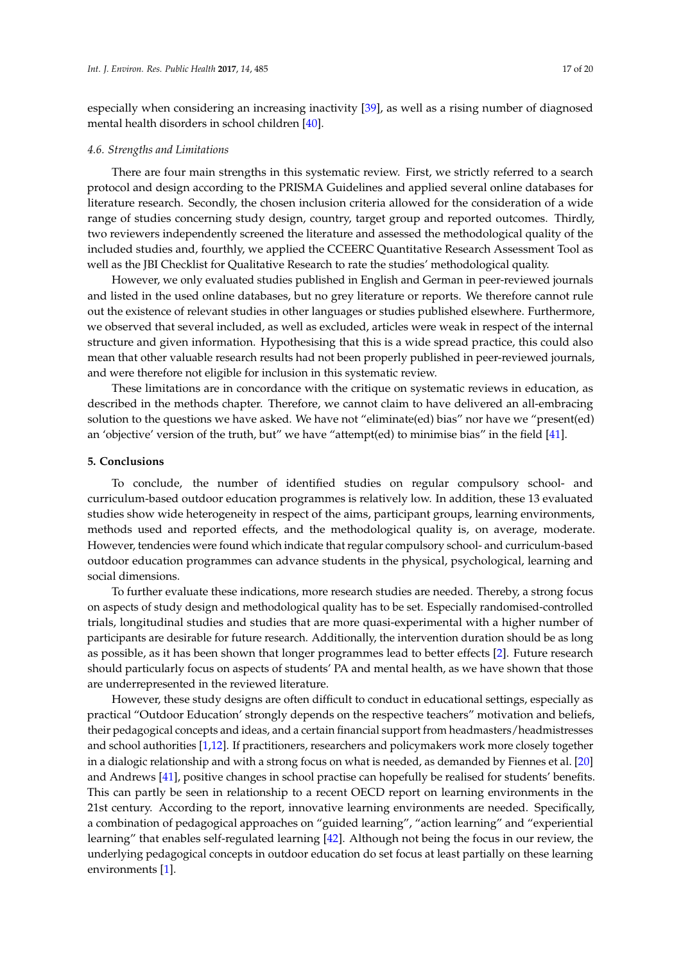especially when considering an increasing inactivity [\[39\]](#page-19-20), as well as a rising number of diagnosed mental health disorders in school children [\[40\]](#page-19-21).

## *4.6. Strengths and Limitations*

There are four main strengths in this systematic review. First, we strictly referred to a search protocol and design according to the PRISMA Guidelines and applied several online databases for literature research. Secondly, the chosen inclusion criteria allowed for the consideration of a wide range of studies concerning study design, country, target group and reported outcomes. Thirdly, two reviewers independently screened the literature and assessed the methodological quality of the included studies and, fourthly, we applied the CCEERC Quantitative Research Assessment Tool as well as the JBI Checklist for Qualitative Research to rate the studies' methodological quality.

However, we only evaluated studies published in English and German in peer-reviewed journals and listed in the used online databases, but no grey literature or reports. We therefore cannot rule out the existence of relevant studies in other languages or studies published elsewhere. Furthermore, we observed that several included, as well as excluded, articles were weak in respect of the internal structure and given information. Hypothesising that this is a wide spread practice, this could also mean that other valuable research results had not been properly published in peer-reviewed journals, and were therefore not eligible for inclusion in this systematic review.

These limitations are in concordance with the critique on systematic reviews in education, as described in the methods chapter. Therefore, we cannot claim to have delivered an all-embracing solution to the questions we have asked. We have not "eliminate(ed) bias" nor have we "present(ed) an 'objective' version of the truth, but" we have "attempt(ed) to minimise bias" in the field [\[41\]](#page-19-22).

# **5. Conclusions**

To conclude, the number of identified studies on regular compulsory school- and curriculum-based outdoor education programmes is relatively low. In addition, these 13 evaluated studies show wide heterogeneity in respect of the aims, participant groups, learning environments, methods used and reported effects, and the methodological quality is, on average, moderate. However, tendencies were found which indicate that regular compulsory school- and curriculum-based outdoor education programmes can advance students in the physical, psychological, learning and social dimensions.

To further evaluate these indications, more research studies are needed. Thereby, a strong focus on aspects of study design and methodological quality has to be set. Especially randomised-controlled trials, longitudinal studies and studies that are more quasi-experimental with a higher number of participants are desirable for future research. Additionally, the intervention duration should be as long as possible, as it has been shown that longer programmes lead to better effects [\[2\]](#page-17-1). Future research should particularly focus on aspects of students' PA and mental health, as we have shown that those are underrepresented in the reviewed literature.

However, these study designs are often difficult to conduct in educational settings, especially as practical "Outdoor Education' strongly depends on the respective teachers" motivation and beliefs, their pedagogical concepts and ideas, and a certain financial support from headmasters/headmistresses and school authorities [\[1,](#page-17-0)[12\]](#page-18-9). If practitioners, researchers and policymakers work more closely together in a dialogic relationship and with a strong focus on what is needed, as demanded by Fiennes et al. [\[20\]](#page-18-16) and Andrews [\[41\]](#page-19-22), positive changes in school practise can hopefully be realised for students' benefits. This can partly be seen in relationship to a recent OECD report on learning environments in the 21st century. According to the report, innovative learning environments are needed. Specifically, a combination of pedagogical approaches on "guided learning", "action learning" and "experiential learning" that enables self-regulated learning [\[42\]](#page-19-23). Although not being the focus in our review, the underlying pedagogical concepts in outdoor education do set focus at least partially on these learning environments [\[1\]](#page-17-0).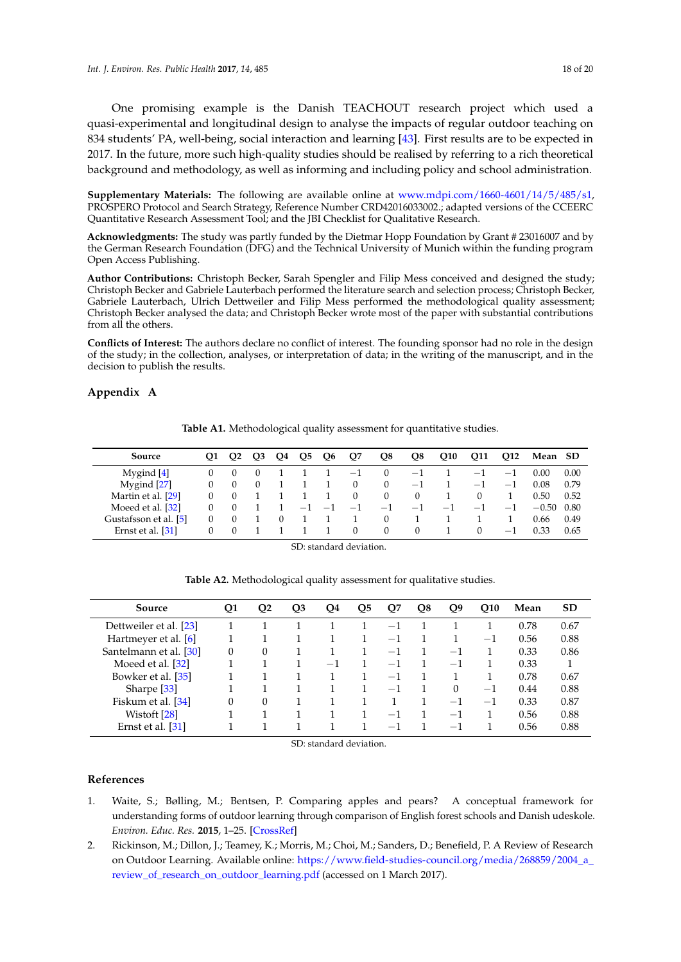One promising example is the Danish TEACHOUT research project which used a quasi-experimental and longitudinal design to analyse the impacts of regular outdoor teaching on 834 students' PA, well-being, social interaction and learning [\[43\]](#page-19-24). First results are to be expected in 2017. In the future, more such high-quality studies should be realised by referring to a rich theoretical background and methodology, as well as informing and including policy and school administration.

**Supplementary Materials:** The following are available online at [www.mdpi.com/1660-4601/14/5/485/s1,](www.mdpi.com/1660-4601/14/5/485/s1) PROSPERO Protocol and Search Strategy, Reference Number CRD42016033002.; adapted versions of the CCEERC Quantitative Research Assessment Tool; and the JBI Checklist for Qualitative Research.

**Acknowledgments:** The study was partly funded by the Dietmar Hopp Foundation by Grant # 23016007 and by the German Research Foundation (DFG) and the Technical University of Munich within the funding program Open Access Publishing.

**Author Contributions:** Christoph Becker, Sarah Spengler and Filip Mess conceived and designed the study; Christoph Becker and Gabriele Lauterbach performed the literature search and selection process; Christoph Becker, Gabriele Lauterbach, Ulrich Dettweiler and Filip Mess performed the methodological quality assessment; Christoph Becker analysed the data; and Christoph Becker wrote most of the paper with substantial contributions from all the others.

**Conflicts of Interest:** The authors declare no conflict of interest. The founding sponsor had no role in the design of the study; in the collection, analyses, or interpretation of data; in the writing of the manuscript, and in the decision to publish the results.

# <span id="page-17-3"></span><span id="page-17-2"></span>**Appendix A**

| Source                | 01 | O <sub>2</sub> | O3       | O4       | O <sub>5</sub> | O <sub>6</sub> | Q7           | O8       | Q8       | <b>O10</b> | Q11      | O12  | Mean SD |      |
|-----------------------|----|----------------|----------|----------|----------------|----------------|--------------|----------|----------|------------|----------|------|---------|------|
| Mygind $[4]$          |    |                | $\theta$ |          |                |                | $-1$         | $\Omega$ | $-1$     |            | $-1$     | $-1$ | 0.00    | 0.00 |
| Mygind [27]           |    |                | 0        |          |                |                | $\mathbf{0}$ | $\theta$ | $-1$     |            | $-1$     | $-1$ | 0.08    | 0.79 |
| Martin et al. [29]    |    |                |          |          |                |                | $\Omega$     | $\Omega$ | $\left($ |            | 0        |      | 0.50    | 0.52 |
| Moeed et al. [32]     |    |                |          |          | $-1$           | $-1$           | $-1$         | $-1$     | $-1$     | $-1$       | $-1$     | $-1$ | $-0.50$ | 0.80 |
| Gustafsson et al. [5] |    |                |          | $\Omega$ |                |                |              | $\Omega$ |          |            |          |      | 0.66    | 0.49 |
| Ernst et al. [31]     | 0  | $\Omega$       |          |          |                |                | $\Omega$     | $\Omega$ | $\Omega$ |            | $\Omega$ | $-1$ | 0.33    | 0.65 |

**Table A1.** Methodological quality assessment for quantitative studies.

SD: standard deviation.

<span id="page-17-4"></span>

| Source                 | Q1       | Q2 | Q3 | Q4   | Q5 | Q7                       | Q8 | Q9                       | <b>O10</b> | Mean | <b>SD</b> |
|------------------------|----------|----|----|------|----|--------------------------|----|--------------------------|------------|------|-----------|
| Dettweiler et al. [23] |          |    |    |      |    | $-1$                     |    |                          |            | 0.78 | 0.67      |
| Hartmeyer et al. [6]   |          |    |    |      |    | $-1$                     |    |                          | $-1$       | 0.56 | 0.88      |
| Santelmann et al. [30] | 0        | 0  |    |      |    | $-1$                     |    | $-1$                     |            | 0.33 | 0.86      |
| Moeed et al. [32]      |          |    |    | $-1$ |    | $-1$                     |    | $-1$                     |            | 0.33 |           |
| Bowker et al. [35]     |          |    |    |      |    | $-1$                     |    |                          |            | 0.78 | 0.67      |
| Sharpe <sup>[33]</sup> |          |    |    |      |    | $-1$                     |    | $\Omega$                 | $-1$       | 0.44 | 0.88      |
| Fiskum et al. [34]     | $\Omega$ | 0  |    |      |    |                          |    | $-1$                     | $-1$       | 0.33 | 0.87      |
| Wistoft [28]           |          |    |    |      |    | $\overline{\phantom{m}}$ |    | $-1$                     |            | 0.56 | 0.88      |
| Ernst et al. [31]      |          |    |    |      |    | $-1$                     |    | $\overline{\phantom{0}}$ |            | 0.56 | 0.88      |

**Table A2.** Methodological quality assessment for qualitative studies.

SD: standard deviation.

#### **References**

- <span id="page-17-0"></span>1. Waite, S.; Bølling, M.; Bentsen, P. Comparing apples and pears? A conceptual framework for understanding forms of outdoor learning through comparison of English forest schools and Danish udeskole. *Environ. Educ. Res.* **2015**, 1–25. [\[CrossRef\]](http://dx.doi.org/10.1080/13504622.2015.1075193)
- <span id="page-17-1"></span>2. Rickinson, M.; Dillon, J.; Teamey, K.; Morris, M.; Choi, M.; Sanders, D.; Benefield, P. A Review of Research on Outdoor Learning. Available online: [https://www.field-studies-council.org/media/268859/2004\\_a\\_](https://www.field-studies-council.org/media/268859/2004_a_review_of_research_on_outdoor_learning.pdf) [review\\_of\\_research\\_on\\_outdoor\\_learning.pdf](https://www.field-studies-council.org/media/268859/2004_a_review_of_research_on_outdoor_learning.pdf) (accessed on 1 March 2017).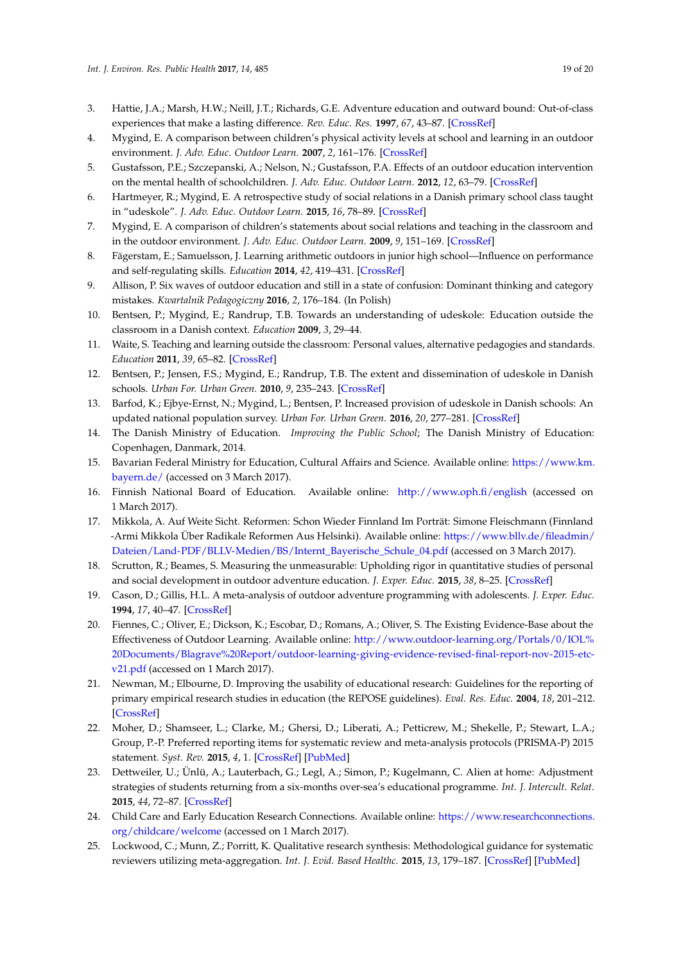- <span id="page-18-27"></span><span id="page-18-26"></span><span id="page-18-24"></span><span id="page-18-23"></span><span id="page-18-0"></span>3. Hattie, J.A.; Marsh, H.W.; Neill, J.T.; Richards, G.E. Adventure education and outward bound: Out-of-class experiences that make a lasting difference. *Rev. Educ. Res.* **1997**, *67*, 43–87. [\[CrossRef\]](http://dx.doi.org/10.3102/00346543067001043)
- <span id="page-18-1"></span>4. Mygind, E. A comparison between children's physical activity levels at school and learning in an outdoor environment. *J. Adv. Educ. Outdoor Learn.* **2007**, *2*, 161–176. [\[CrossRef\]](http://dx.doi.org/10.1080/14729670701717580)
- <span id="page-18-2"></span>5. Gustafsson, P.E.; Szczepanski, A.; Nelson, N.; Gustafsson, P.A. Effects of an outdoor education intervention on the mental health of schoolchildren. *J. Adv. Educ. Outdoor Learn.* **2012**, *12*, 63–79. [\[CrossRef\]](http://dx.doi.org/10.1080/14729679.2010.532994)
- <span id="page-18-3"></span>6. Hartmeyer, R.; Mygind, E. A retrospective study of social relations in a Danish primary school class taught in "udeskole". *J. Adv. Educ. Outdoor Learn.* **2015**, *16*, 78–89. [\[CrossRef\]](http://dx.doi.org/10.1080/14729679.2015.1086659)
- <span id="page-18-4"></span>7. Mygind, E. A comparison of children's statements about social relations and teaching in the classroom and in the outdoor environment. *J. Adv. Educ. Outdoor Learn.* **2009**, *9*, 151–169. [\[CrossRef\]](http://dx.doi.org/10.1080/14729670902860809)
- <span id="page-18-5"></span>8. Fägerstam, E.; Samuelsson, J. Learning arithmetic outdoors in junior high school—Influence on performance and self-regulating skills. *Education* **2014**, *42*, 419–431. [\[CrossRef\]](http://dx.doi.org/10.1080/03004279.2012.713374)
- <span id="page-18-6"></span>9. Allison, P. Six waves of outdoor education and still in a state of confusion: Dominant thinking and category mistakes. *Kwartalnik Pedagogiczny* **2016**, *2*, 176–184. (In Polish)
- <span id="page-18-7"></span>10. Bentsen, P.; Mygind, E.; Randrup, T.B. Towards an understanding of udeskole: Education outside the classroom in a Danish context. *Education* **2009**, *3*, 29–44.
- <span id="page-18-8"></span>11. Waite, S. Teaching and learning outside the classroom: Personal values, alternative pedagogies and standards. *Education* **2011**, *39*, 65–82. [\[CrossRef\]](http://dx.doi.org/10.1080/03004270903206141)
- <span id="page-18-9"></span>12. Bentsen, P.; Jensen, F.S.; Mygind, E.; Randrup, T.B. The extent and dissemination of udeskole in Danish schools. *Urban For. Urban Green.* **2010**, *9*, 235–243. [\[CrossRef\]](http://dx.doi.org/10.1016/j.ufug.2010.02.001)
- <span id="page-18-10"></span>13. Barfod, K.; Ejbye-Ernst, N.; Mygind, L.; Bentsen, P. Increased provision of udeskole in Danish schools: An updated national population survey. *Urban For. Urban Green.* **2016**, *20*, 277–281. [\[CrossRef\]](http://dx.doi.org/10.1016/j.ufug.2016.09.012)
- <span id="page-18-11"></span>14. The Danish Ministry of Education. *Improving the Public School*; The Danish Ministry of Education: Copenhagen, Danmark, 2014.
- <span id="page-18-12"></span>15. Bavarian Federal Ministry for Education, Cultural Affairs and Science. Available online: [https://www.km.](https://www.km.bayern.de/) [bayern.de/](https://www.km.bayern.de/) (accessed on 3 March 2017).
- <span id="page-18-25"></span><span id="page-18-13"></span>16. Finnish National Board of Education. Available online: <http://www.oph.fi/english> (accessed on 1 March 2017).
- <span id="page-18-14"></span>17. Mikkola, A. Auf Weite Sicht. Reformen: Schon Wieder Finnland Im Porträt: Simone Fleischmann (Finnland -Armi Mikkola Über Radikale Reformen Aus Helsinki). Available online: [https://www.bllv.de/fileadmin/](https://www.bllv.de/fileadmin/Dateien/Land-PDF/BLLV-Medien/BS/Internt_Bayerische_Schule_04.pdf) [Dateien/Land-PDF/BLLV-Medien/BS/Internt\\_Bayerische\\_Schule\\_04.pdf](https://www.bllv.de/fileadmin/Dateien/Land-PDF/BLLV-Medien/BS/Internt_Bayerische_Schule_04.pdf) (accessed on 3 March 2017).
- <span id="page-18-15"></span>18. Scrutton, R.; Beames, S. Measuring the unmeasurable: Upholding rigor in quantitative studies of personal and social development in outdoor adventure education. *J. Exper. Educ.* **2015**, *38*, 8–25. [\[CrossRef\]](http://dx.doi.org/10.1177/1053825913514730)
- <span id="page-18-17"></span>19. Cason, D.; Gillis, H.L. A meta-analysis of outdoor adventure programming with adolescents. *J. Exper. Educ.* **1994**, *17*, 40–47. [\[CrossRef\]](http://dx.doi.org/10.1177/105382599401700109)
- <span id="page-18-16"></span>20. Fiennes, C.; Oliver, E.; Dickson, K.; Escobar, D.; Romans, A.; Oliver, S. The Existing Evidence-Base about the Effectiveness of Outdoor Learning. Available online: [http://www.outdoor-learning.org/Portals/0/IOL%](http://www.outdoor-learning.org/Portals/0/IOL%20Documents/Blagrave%20Report/outdoor-learning-giving-evidence-revised-final-report-nov-2015-etc-v21.pdf) [20Documents/Blagrave%20Report/outdoor-learning-giving-evidence-revised-final-report-nov-2015-etc](http://www.outdoor-learning.org/Portals/0/IOL%20Documents/Blagrave%20Report/outdoor-learning-giving-evidence-revised-final-report-nov-2015-etc-v21.pdf)[v21.pdf](http://www.outdoor-learning.org/Portals/0/IOL%20Documents/Blagrave%20Report/outdoor-learning-giving-evidence-revised-final-report-nov-2015-etc-v21.pdf) (accessed on 1 March 2017).
- <span id="page-18-18"></span>21. Newman, M.; Elbourne, D. Improving the usability of educational research: Guidelines for the reporting of primary empirical research studies in education (the REPOSE guidelines). *Eval. Res. Educ.* **2004**, *18*, 201–212. [\[CrossRef\]](http://dx.doi.org/10.1080/09500790408668319)
- <span id="page-18-19"></span>22. Moher, D.; Shamseer, L.; Clarke, M.; Ghersi, D.; Liberati, A.; Petticrew, M.; Shekelle, P.; Stewart, L.A.; Group, P.-P. Preferred reporting items for systematic review and meta-analysis protocols (PRISMA-P) 2015 statement. *Syst. Rev.* **2015**, *4*, 1. [\[CrossRef\]](http://dx.doi.org/10.1186/2046-4053-4-1) [\[PubMed\]](http://www.ncbi.nlm.nih.gov/pubmed/25554246)
- <span id="page-18-21"></span>23. Dettweiler, U.; Ünlü, A.; Lauterbach, G.; Legl, A.; Simon, P.; Kugelmann, C. Alien at home: Adjustment strategies of students returning from a six-months over-sea's educational programme. *Int. J. Intercult. Relat.* **2015**, *44*, 72–87. [\[CrossRef\]](http://dx.doi.org/10.1016/j.ijintrel.2014.10.005)
- <span id="page-18-20"></span>24. Child Care and Early Education Research Connections. Available online: [https://www.researchconnections.](https://www.researchconnections.org/childcare/welcome) [org/childcare/welcome](https://www.researchconnections.org/childcare/welcome) (accessed on 1 March 2017).
- <span id="page-18-22"></span>25. Lockwood, C.; Munn, Z.; Porritt, K. Qualitative research synthesis: Methodological guidance for systematic reviewers utilizing meta-aggregation. *Int. J. Evid. Based Healthc.* **2015**, *13*, 179–187. [\[CrossRef\]](http://dx.doi.org/10.1097/XEB.0000000000000062) [\[PubMed\]](http://www.ncbi.nlm.nih.gov/pubmed/26262565)